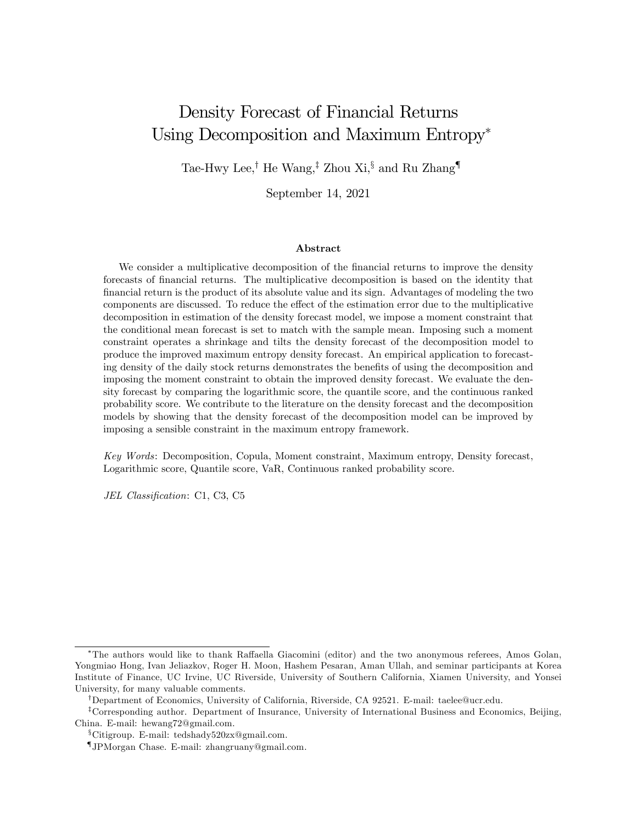# Density Forecast of Financial Returns Using Decomposition and Maximum Entropy

Tae-Hwy Lee,<sup>†</sup> He Wang,<sup>‡</sup> Zhou Xi,<sup>§</sup> and Ru Zhang<sup>¶</sup>

September 14, 2021

#### Abstract

We consider a multiplicative decomposition of the financial returns to improve the density forecasts of financial returns. The multiplicative decomposition is based on the identity that financial return is the product of its absolute value and its sign. Advantages of modeling the two components are discussed. To reduce the effect of the estimation error due to the multiplicative decomposition in estimation of the density forecast model, we impose a moment constraint that the conditional mean forecast is set to match with the sample mean. Imposing such a moment constraint operates a shrinkage and tilts the density forecast of the decomposition model to produce the improved maximum entropy density forecast. An empirical application to forecasting density of the daily stock returns demonstrates the benefits of using the decomposition and imposing the moment constraint to obtain the improved density forecast. We evaluate the density forecast by comparing the logarithmic score, the quantile score, and the continuous ranked probability score. We contribute to the literature on the density forecast and the decomposition models by showing that the density forecast of the decomposition model can be improved by imposing a sensible constraint in the maximum entropy framework.

Key Words: Decomposition, Copula, Moment constraint, Maximum entropy, Density forecast, Logarithmic score, Quantile score, VaR, Continuous ranked probability score.

JEL Classification: C1, C3, C5

<sup>\*</sup>The authors would like to thank Raffaella Giacomini (editor) and the two anonymous referees, Amos Golan, Yongmiao Hong, Ivan Jeliazkov, Roger H. Moon, Hashem Pesaran, Aman Ullah, and seminar participants at Korea Institute of Finance, UC Irvine, UC Riverside, University of Southern California, Xiamen University, and Yonsei University, for many valuable comments.

<sup>&</sup>lt;sup>†</sup>Department of Economics, University of California, Riverside, CA 92521. E-mail: taelee@ucr.edu.

<sup>&</sup>lt;sup>‡</sup>Corresponding author. Department of Insurance, University of International Business and Economics, Beijing, China. E-mail: hewang72@gmail.com.

<sup>&</sup>lt;sup>§</sup>Citigroup. E-mail: tedshady520zx@gmail.com.

<sup>{</sup> JPMorgan Chase. E-mail: zhangruany@gmail.com.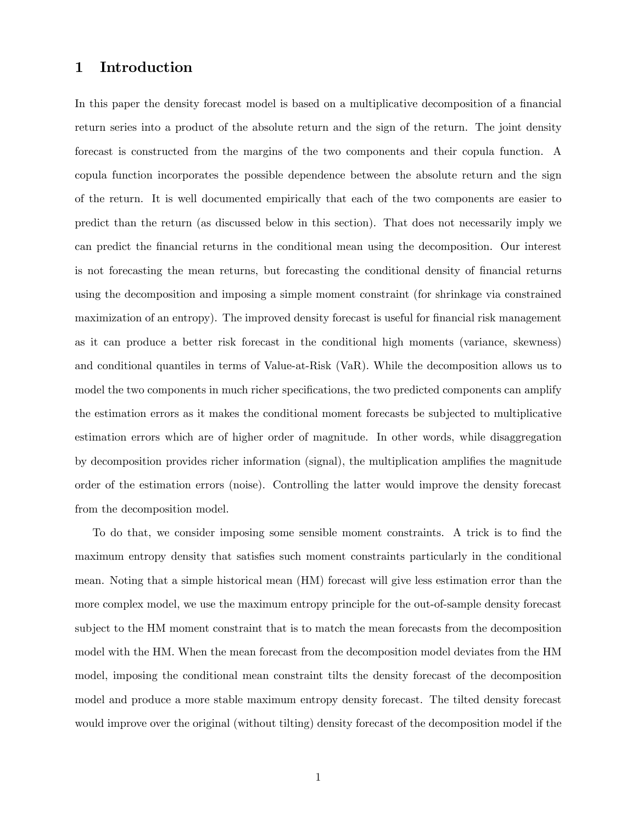## 1 Introduction

In this paper the density forecast model is based on a multiplicative decomposition of a financial return series into a product of the absolute return and the sign of the return. The joint density forecast is constructed from the margins of the two components and their copula function. A copula function incorporates the possible dependence between the absolute return and the sign of the return. It is well documented empirically that each of the two components are easier to predict than the return (as discussed below in this section). That does not necessarily imply we can predict the Önancial returns in the conditional mean using the decomposition. Our interest is not forecasting the mean returns, but forecasting the conditional density of financial returns using the decomposition and imposing a simple moment constraint (for shrinkage via constrained maximization of an entropy). The improved density forecast is useful for financial risk management as it can produce a better risk forecast in the conditional high moments (variance, skewness) and conditional quantiles in terms of Value-at-Risk (VaR). While the decomposition allows us to model the two components in much richer specifications, the two predicted components can amplify the estimation errors as it makes the conditional moment forecasts be subjected to multiplicative estimation errors which are of higher order of magnitude. In other words, while disaggregation by decomposition provides richer information (signal), the multiplication amplifies the magnitude order of the estimation errors (noise). Controlling the latter would improve the density forecast from the decomposition model.

To do that, we consider imposing some sensible moment constraints. A trick is to find the maximum entropy density that satisfies such moment constraints particularly in the conditional mean. Noting that a simple historical mean (HM) forecast will give less estimation error than the more complex model, we use the maximum entropy principle for the out-of-sample density forecast subject to the HM moment constraint that is to match the mean forecasts from the decomposition model with the HM. When the mean forecast from the decomposition model deviates from the HM model, imposing the conditional mean constraint tilts the density forecast of the decomposition model and produce a more stable maximum entropy density forecast. The tilted density forecast would improve over the original (without tilting) density forecast of the decomposition model if the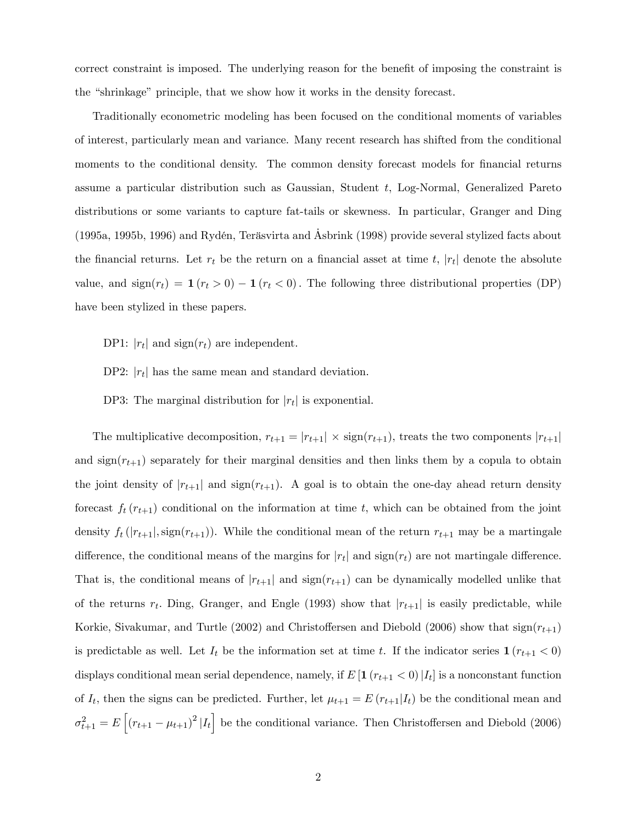correct constraint is imposed. The underlying reason for the benefit of imposing the constraint is the "shrinkage" principle, that we show how it works in the density forecast.

Traditionally econometric modeling has been focused on the conditional moments of variables of interest, particularly mean and variance. Many recent research has shifted from the conditional moments to the conditional density. The common density forecast models for financial returns assume a particular distribution such as Gaussian, Student t, Log-Normal, Generalized Pareto distributions or some variants to capture fat-tails or skewness. In particular, Granger and Ding (1995a, 1995b, 1996) and Rydén, Teräsvirta and Asbrink (1998) provide several stylized facts about the financial returns. Let  $r_t$  be the return on a financial asset at time  $t$ ,  $|r_t|$  denote the absolute value, and  $sign(r_t) = \mathbf{1}(r_t > 0) - \mathbf{1}(r_t < 0)$ . The following three distributional properties (DP) have been stylized in these papers.

DP1:  $|r_t|$  and  $sign(r_t)$  are independent.

DP2:  $|r_t|$  has the same mean and standard deviation.

DP3: The marginal distribution for  $|r_t|$  is exponential.

The multiplicative decomposition,  $r_{t+1} = |r_{t+1}| \times \text{sign}(r_{t+1})$ , treats the two components  $|r_{t+1}|$ and  $sign(r_{t+1})$  separately for their marginal densities and then links them by a copula to obtain the joint density of  $|r_{t+1}|$  and  $sign(r_{t+1})$ . A goal is to obtain the one-day ahead return density forecast  $f_t(r_{t+1})$  conditional on the information at time t, which can be obtained from the joint density  $f_t(|r_{t+1}|, sign(r_{t+1}))$ . While the conditional mean of the return  $r_{t+1}$  may be a martingale difference, the conditional means of the margins for  $|r_t|$  and  $sign(r_t)$  are not martingale difference. That is, the conditional means of  $|r_{t+1}|$  and  $sign(r_{t+1})$  can be dynamically modelled unlike that of the returns  $r_t$ . Ding, Granger, and Engle (1993) show that  $|r_{t+1}|$  is easily predictable, while Korkie, Sivakumar, and Turtle (2002) and Christoffersen and Diebold (2006) show that  $sign(r_{t+1})$ is predictable as well. Let  $I_t$  be the information set at time t. If the indicator series  $\mathbf{1} (r_{t+1} < 0)$ displays conditional mean serial dependence, namely, if  $E[\mathbf{1}(r_{t+1} < 0) | I_t]$  is a nonconstant function of  $I_t$ , then the signs can be predicted. Further, let  $\mu_{t+1} = E (r_{t+1} | I_t)$  be the conditional mean and  $\sigma_{t+1}^2 = E\left[ (r_{t+1} - \mu_{t+1})^2 | I_t \right]$  be the conditional variance. Then Christoffersen and Diebold (2006)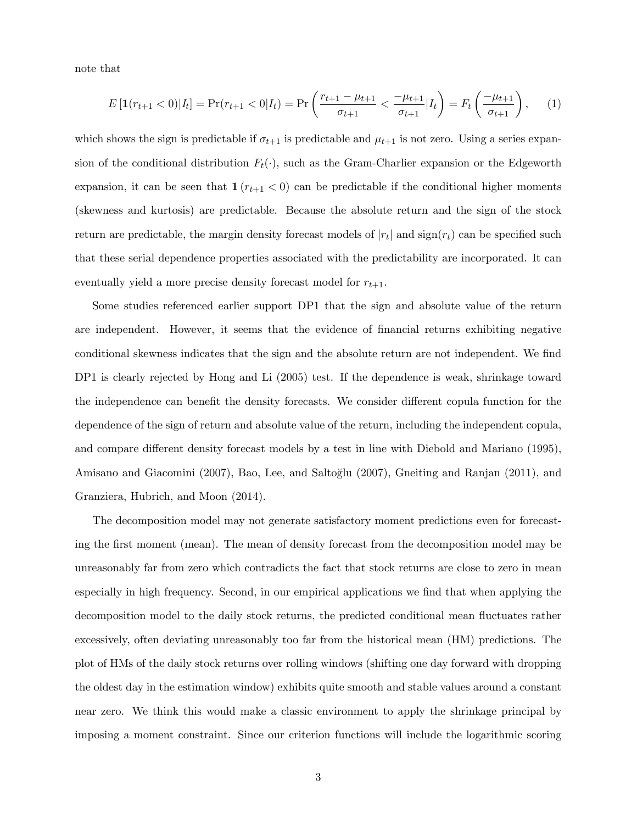note that

$$
E\left[\mathbf{1}(r_{t+1} < 0)|I_t\right] = \Pr(r_{t+1} < 0|I_t) = \Pr\left(\frac{r_{t+1} - \mu_{t+1}}{\sigma_{t+1}} < \frac{-\mu_{t+1}}{\sigma_{t+1}}|I_t\right) = F_t\left(\frac{-\mu_{t+1}}{\sigma_{t+1}}\right),\tag{1}
$$

which shows the sign is predictable if  $\sigma_{t+1}$  is predictable and  $\mu_{t+1}$  is not zero. Using a series expansion of the conditional distribution  $F_t(\cdot)$ , such as the Gram-Charlier expansion or the Edgeworth expansion, it can be seen that  $1 (r_{t+1} < 0)$  can be predictable if the conditional higher moments (skewness and kurtosis) are predictable. Because the absolute return and the sign of the stock return are predictable, the margin density forecast models of  $|r_t|$  and  $sign(r_t)$  can be specified such that these serial dependence properties associated with the predictability are incorporated. It can eventually yield a more precise density forecast model for  $r_{t+1}$ .

Some studies referenced earlier support DP1 that the sign and absolute value of the return are independent. However, it seems that the evidence of financial returns exhibiting negative conditional skewness indicates that the sign and the absolute return are not independent. We find DP1 is clearly rejected by Hong and Li  $(2005)$  test. If the dependence is weak, shrinkage toward the independence can benefit the density forecasts. We consider different copula function for the dependence of the sign of return and absolute value of the return, including the independent copula, and compare different density forecast models by a test in line with Diebold and Mariano (1995), Amisano and Giacomini (2007), Bao, Lee, and Saltoğlu (2007), Gneiting and Ranjan (2011), and Granziera, Hubrich, and Moon (2014).

The decomposition model may not generate satisfactory moment predictions even for forecasting the first moment (mean). The mean of density forecast from the decomposition model may be unreasonably far from zero which contradicts the fact that stock returns are close to zero in mean especially in high frequency. Second, in our empirical applications we find that when applying the decomposition model to the daily stock returns, the predicted conditional mean fluctuates rather excessively, often deviating unreasonably too far from the historical mean (HM) predictions. The plot of HMs of the daily stock returns over rolling windows (shifting one day forward with dropping the oldest day in the estimation window) exhibits quite smooth and stable values around a constant near zero. We think this would make a classic environment to apply the shrinkage principal by imposing a moment constraint. Since our criterion functions will include the logarithmic scoring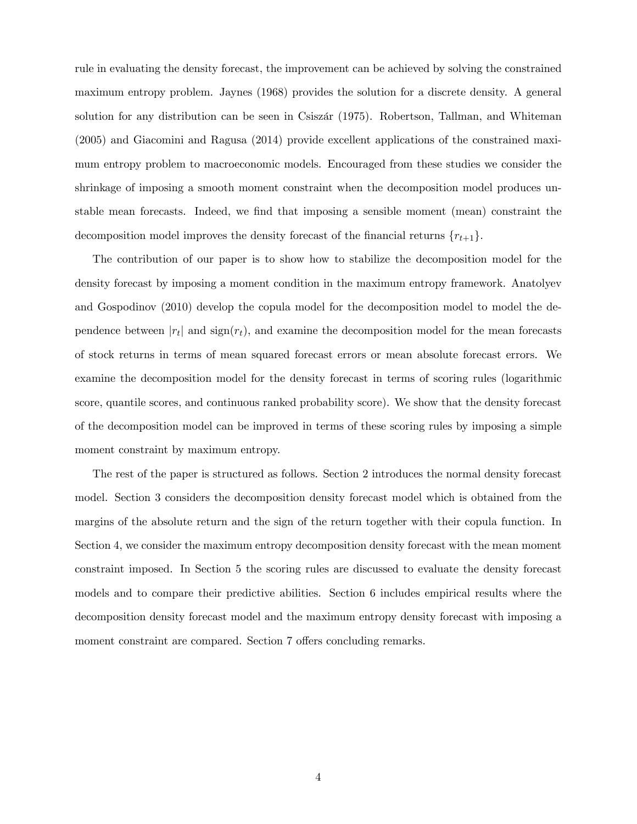rule in evaluating the density forecast, the improvement can be achieved by solving the constrained maximum entropy problem. Jaynes (1968) provides the solution for a discrete density. A general solution for any distribution can be seen in Csiszár (1975). Robertson, Tallman, and Whiteman (2005) and Giacomini and Ragusa (2014) provide excellent applications of the constrained maximum entropy problem to macroeconomic models. Encouraged from these studies we consider the shrinkage of imposing a smooth moment constraint when the decomposition model produces unstable mean forecasts. Indeed, we find that imposing a sensible moment (mean) constraint the decomposition model improves the density forecast of the financial returns  $\{r_{t+1}\}.$ 

The contribution of our paper is to show how to stabilize the decomposition model for the density forecast by imposing a moment condition in the maximum entropy framework. Anatolyev and Gospodinov (2010) develop the copula model for the decomposition model to model the dependence between  $|r_t|$  and  $sign(r_t)$ , and examine the decomposition model for the mean forecasts of stock returns in terms of mean squared forecast errors or mean absolute forecast errors. We examine the decomposition model for the density forecast in terms of scoring rules (logarithmic score, quantile scores, and continuous ranked probability score). We show that the density forecast of the decomposition model can be improved in terms of these scoring rules by imposing a simple moment constraint by maximum entropy.

The rest of the paper is structured as follows. Section 2 introduces the normal density forecast model. Section 3 considers the decomposition density forecast model which is obtained from the margins of the absolute return and the sign of the return together with their copula function. In Section 4, we consider the maximum entropy decomposition density forecast with the mean moment constraint imposed. In Section 5 the scoring rules are discussed to evaluate the density forecast models and to compare their predictive abilities. Section 6 includes empirical results where the decomposition density forecast model and the maximum entropy density forecast with imposing a moment constraint are compared. Section 7 offers concluding remarks.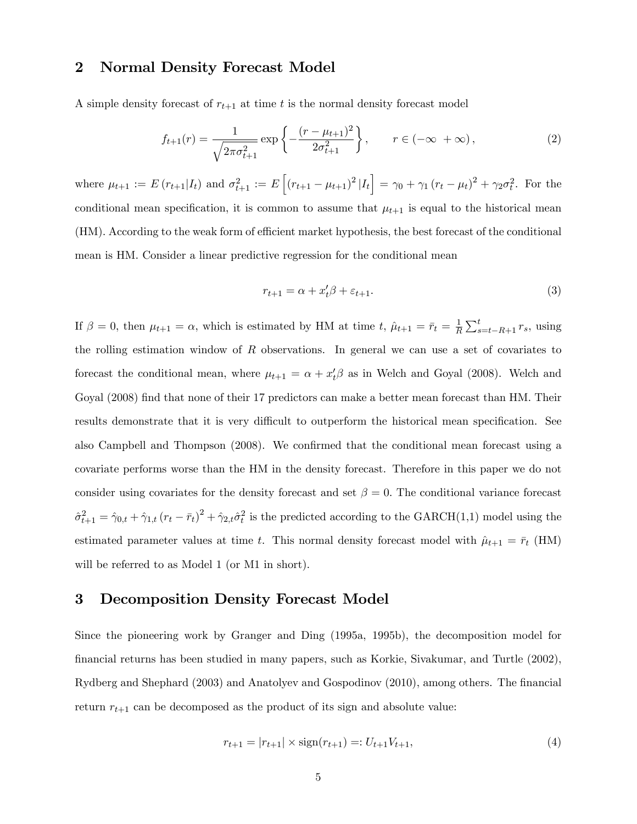## 2 Normal Density Forecast Model

A simple density forecast of  $r_{t+1}$  at time t is the normal density forecast model

$$
f_{t+1}(r) = \frac{1}{\sqrt{2\pi\sigma_{t+1}^2}} \exp\left\{-\frac{(r-\mu_{t+1})^2}{2\sigma_{t+1}^2}\right\}, \qquad r \in (-\infty, +\infty),
$$
 (2)

where  $\mu_{t+1} := E(r_{t+1}|I_t)$  and  $\sigma_{t+1}^2 := E\left[ (r_{t+1} - \mu_{t+1})^2 |I_t \right] = \gamma_0 + \gamma_1 (r_t - \mu_t)^2 + \gamma_2 \sigma_t^2$ . For the conditional mean specification, it is common to assume that  $\mu_{t+1}$  is equal to the historical mean (HM). According to the weak form of efficient market hypothesis, the best forecast of the conditional mean is HM. Consider a linear predictive regression for the conditional mean

$$
r_{t+1} = \alpha + x_t' \beta + \varepsilon_{t+1}.\tag{3}
$$

If  $\beta = 0$ , then  $\mu_{t+1} = \alpha$ , which is estimated by HM at time t,  $\hat{\mu}_{t+1} = \bar{r}_t = \frac{1}{R}$  $\frac{1}{R} \sum_{s=t-R+1}^{t} r_s$ , using the rolling estimation window of  $R$  observations. In general we can use a set of covariates to forecast the conditional mean, where  $\mu_{t+1} = \alpha + x_t^{\prime} \beta$  as in Welch and Goyal (2008). Welch and Goyal (2008) find that none of their 17 predictors can make a better mean forecast than HM. Their results demonstrate that it is very difficult to outperform the historical mean specification. See also Campbell and Thompson (2008). We confirmed that the conditional mean forecast using a covariate performs worse than the HM in the density forecast. Therefore in this paper we do not consider using covariates for the density forecast and set  $\beta = 0$ . The conditional variance forecast  $\hat{\sigma}^2_{t+1} = \hat{\gamma}_{0,t} + \hat{\gamma}_{1,t} (r_t - \bar{r}_t)^2 + \hat{\gamma}_{2,t} \hat{\sigma}^2_t$  is the predicted according to the GARCH(1,1) model using the estimated parameter values at time t. This normal density forecast model with  $\hat{\mu}_{t+1} = \bar{r}_t$  (HM) will be referred to as Model 1 (or M1 in short).

## 3 Decomposition Density Forecast Model

Since the pioneering work by Granger and Ding (1995a, 1995b), the decomposition model for Önancial returns has been studied in many papers, such as Korkie, Sivakumar, and Turtle (2002), Rydberg and Shephard (2003) and Anatolyev and Gospodinov (2010), among others. The Önancial return  $r_{t+1}$  can be decomposed as the product of its sign and absolute value:

$$
r_{t+1} = |r_{t+1}| \times \text{sign}(r_{t+1}) =: U_{t+1}V_{t+1},\tag{4}
$$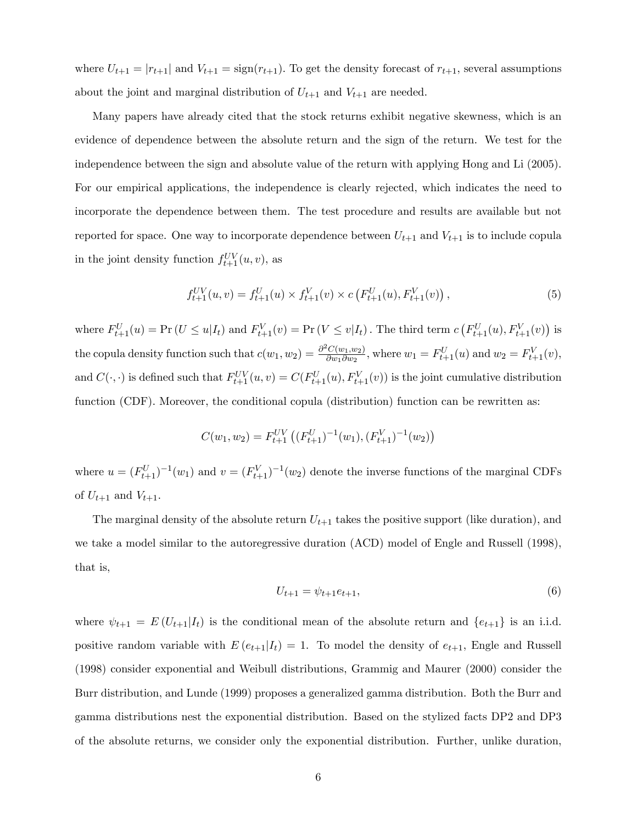where  $U_{t+1} = |r_{t+1}|$  and  $V_{t+1} = \text{sign}(r_{t+1})$ . To get the density forecast of  $r_{t+1}$ , several assumptions about the joint and marginal distribution of  $U_{t+1}$  and  $V_{t+1}$  are needed.

Many papers have already cited that the stock returns exhibit negative skewness, which is an evidence of dependence between the absolute return and the sign of the return. We test for the independence between the sign and absolute value of the return with applying Hong and Li (2005). For our empirical applications, the independence is clearly rejected, which indicates the need to incorporate the dependence between them. The test procedure and results are available but not reported for space. One way to incorporate dependence between  $U_{t+1}$  and  $V_{t+1}$  is to include copula in the joint density function  $f_{t+1}^{UV}(u, v)$ , as

$$
f_{t+1}^{UV}(u,v) = f_{t+1}^{U}(u) \times f_{t+1}^{V}(v) \times c\left(F_{t+1}^{U}(u), F_{t+1}^{V}(v)\right),\tag{5}
$$

where  $F_{t+1}^{U}(u) = \Pr(U \le u | I_t)$  and  $F_{t+1}^{V}(v) = \Pr(V \le v | I_t)$ . The third term  $c(F_{t+1}^{U}(u), F_{t+1}^{V}(v))$  is the copula density function such that  $c(w_1, w_2) = \frac{\partial^2 C(w_1, w_2)}{\partial w_1 \partial w_2}$  $\frac{C(w_1, w_2)}{\partial w_1 \partial w_2}$ , where  $w_1 = F_{t+1}^U(u)$  and  $w_2 = F_{t+1}^V(v)$ , and  $C(\cdot, \cdot)$  is defined such that  $F_{t+1}^{UV}(u, v) = C(F_{t+1}^U(u), F_{t+1}^V(v))$  is the joint cumulative distribution function (CDF). Moreover, the conditional copula (distribution) function can be rewritten as:

$$
C(w_1,w_2)=F_{t+1}^{UV}\left((F_{t+1}^U)^{-1}(w_1),(F_{t+1}^V)^{-1}(w_2)\right)
$$

where  $u = (F_{t+1}^U)^{-1}(w_1)$  and  $v = (F_{t+1}^V)^{-1}(w_2)$  denote the inverse functions of the marginal CDFs of  $U_{t+1}$  and  $V_{t+1}$ .

The marginal density of the absolute return  $U_{t+1}$  takes the positive support (like duration), and we take a model similar to the autoregressive duration (ACD) model of Engle and Russell (1998), that is,

$$
U_{t+1} = \psi_{t+1} e_{t+1},\tag{6}
$$

where  $\psi_{t+1} = E(U_{t+1}|I_t)$  is the conditional mean of the absolute return and  $\{e_{t+1}\}\$ is an i.i.d. positive random variable with  $E(e_{t+1}|I_t) = 1$ . To model the density of  $e_{t+1}$ , Engle and Russell (1998) consider exponential and Weibull distributions, Grammig and Maurer (2000) consider the Burr distribution, and Lunde (1999) proposes a generalized gamma distribution. Both the Burr and gamma distributions nest the exponential distribution. Based on the stylized facts DP2 and DP3 of the absolute returns, we consider only the exponential distribution. Further, unlike duration,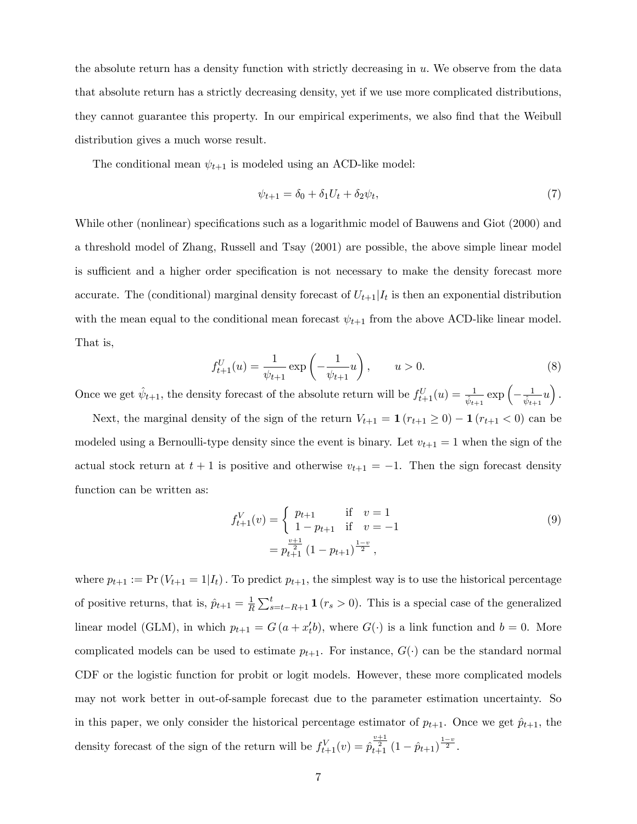the absolute return has a density function with strictly decreasing in  $u$ . We observe from the data that absolute return has a strictly decreasing density, yet if we use more complicated distributions, they cannot guarantee this property. In our empirical experiments, we also find that the Weibull distribution gives a much worse result.

The conditional mean  $\psi_{t+1}$  is modeled using an ACD-like model:

$$
\psi_{t+1} = \delta_0 + \delta_1 U_t + \delta_2 \psi_t,\tag{7}
$$

While other (nonlinear) specifications such as a logarithmic model of Bauwens and Giot (2000) and a threshold model of Zhang, Russell and Tsay (2001) are possible, the above simple linear model is sufficient and a higher order specification is not necessary to make the density forecast more accurate. The (conditional) marginal density forecast of  $U_{t+1}|I_t$  is then an exponential distribution with the mean equal to the conditional mean forecast  $\psi_{t+1}$  from the above ACD-like linear model. That is,

$$
f_{t+1}^{U}(u) = \frac{1}{\psi_{t+1}} \exp\left(-\frac{1}{\psi_{t+1}}u\right), \qquad u > 0.
$$
 (8)

Once we get  $\hat{\psi}_{t+1}$ , the density forecast of the absolute return will be  $f_{t+1}^{U}(u) = \frac{1}{\hat{\psi}_{t+1}} \exp\left(-\frac{1}{\hat{\psi}_{t+1}}u\right)$ .

Next, the marginal density of the sign of the return  $V_{t+1} = \mathbf{1} (r_{t+1} \geq 0) - \mathbf{1} (r_{t+1} < 0)$  can be modeled using a Bernoulli-type density since the event is binary. Let  $v_{t+1} = 1$  when the sign of the actual stock return at  $t + 1$  is positive and otherwise  $v_{t+1} = -1$ . Then the sign forecast density function can be written as:

$$
f_{t+1}^{V}(v) = \begin{cases} p_{t+1} & \text{if } v = 1\\ 1 - p_{t+1} & \text{if } v = -1 \end{cases}
$$
(9)  
=  $p_{t+1}^{\frac{v+1}{2}} (1 - p_{t+1})^{\frac{1-v}{2}},$ 

where  $p_{t+1} := \Pr(V_{t+1} = 1 | I_t)$ . To predict  $p_{t+1}$ , the simplest way is to use the historical percentage of positive returns, that is,  $\hat{p}_{t+1} = \frac{1}{R}$  $\frac{1}{R} \sum_{s=t-R+1}^{t} \mathbf{1} (r_s > 0)$ . This is a special case of the generalized linear model (GLM), in which  $p_{t+1} = G(a + x'_{t}b)$ , where  $G(\cdot)$  is a link function and  $b = 0$ . More complicated models can be used to estimate  $p_{t+1}$ . For instance,  $G(\cdot)$  can be the standard normal CDF or the logistic function for probit or logit models. However, these more complicated models may not work better in out-of-sample forecast due to the parameter estimation uncertainty. So in this paper, we only consider the historical percentage estimator of  $p_{t+1}$ . Once we get  $\hat{p}_{t+1}$ , the density forecast of the sign of the return will be  $f_{t+1}^V(v) = \hat{p}_{t+1}^{\frac{v+1}{2}} (1 - \hat{p}_{t+1})^{\frac{1-v}{2}}$ .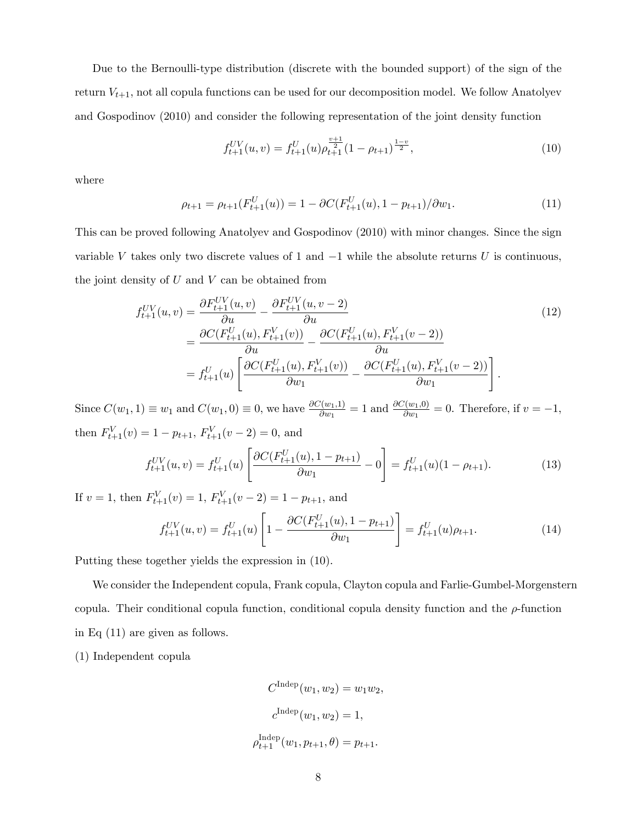Due to the Bernoulli-type distribution (discrete with the bounded support) of the sign of the return  $V_{t+1}$ , not all copula functions can be used for our decomposition model. We follow Anatolyev and Gospodinov (2010) and consider the following representation of the joint density function

$$
f_{t+1}^{UV}(u,v) = f_{t+1}^{U}(u)\rho_{t+1}^{\frac{v+1}{2}}(1 - \rho_{t+1})^{\frac{1-v}{2}},\tag{10}
$$

where

$$
\rho_{t+1} = \rho_{t+1}(F_{t+1}^U(u)) = 1 - \partial C(F_{t+1}^U(u), 1 - p_{t+1})/\partial w_1.
$$
\n(11)

This can be proved following Anatolyev and Gospodinov (2010) with minor changes. Since the sign variable V takes only two discrete values of 1 and  $-1$  while the absolute returns U is continuous, the joint density of  $U$  and  $V$  can be obtained from

$$
f_{t+1}^{UV}(u,v) = \frac{\partial F_{t+1}^{UV}(u,v)}{\partial u} - \frac{\partial F_{t+1}^{UV}(u,v-2)}{\partial u} = \frac{\partial C(F_{t+1}^{U}(u), F_{t+1}^{V}(v))}{\partial u} - \frac{\partial C(F_{t+1}^{U}(u), F_{t+1}^{V}(v-2))}{\partial u} = f_{t+1}^{U}(u) \left[ \frac{\partial C(F_{t+1}^{U}(u), F_{t+1}^{V}(v))}{\partial w_1} - \frac{\partial C(F_{t+1}^{U}(u), F_{t+1}^{V}(v-2))}{\partial w_1} \right].
$$
\n(12)

Since  $C(w_1, 1) \equiv w_1$  and  $C(w_1, 0) \equiv 0$ , we have  $\frac{\partial C(w_1, 1)}{\partial w_1} = 1$  and  $\frac{\partial C(w_1, 0)}{\partial w_1} = 0$ . Therefore, if  $v = -1$ , then  $F_{t+1}^{V}(v) = 1 - p_{t+1}, F_{t+1}^{V}(v-2) = 0$ , and

$$
f_{t+1}^{UV}(u,v) = f_{t+1}^{U}(u) \left[ \frac{\partial C(F_{t+1}^{U}(u), 1 - p_{t+1})}{\partial w_1} - 0 \right] = f_{t+1}^{U}(u)(1 - \rho_{t+1}). \tag{13}
$$

If  $v = 1$ , then  $F_{t+1}^{V}(v) = 1$ ,  $F_{t+1}^{V}(v-2) = 1 - p_{t+1}$ , and

$$
f_{t+1}^{UV}(u,v) = f_{t+1}^{U}(u) \left[ 1 - \frac{\partial C(F_{t+1}^{U}(u), 1 - p_{t+1})}{\partial w_1} \right] = f_{t+1}^{U}(u)\rho_{t+1}.
$$
 (14)

Putting these together yields the expression in (10).

We consider the Independent copula, Frank copula, Clayton copula and Farlie-Gumbel-Morgenstern copula. Their conditional copula function, conditional copula density function and the  $\rho$ -function in Eq (11) are given as follows.

(1) Independent copula

$$
C^{\text{Indep}}(w_1, w_2) = w_1 w_2,
$$
  
\n
$$
c^{\text{Indep}}(w_1, w_2) = 1,
$$
  
\n
$$
\rho_{t+1}^{\text{Indep}}(w_1, p_{t+1}, \theta) = p_{t+1}.
$$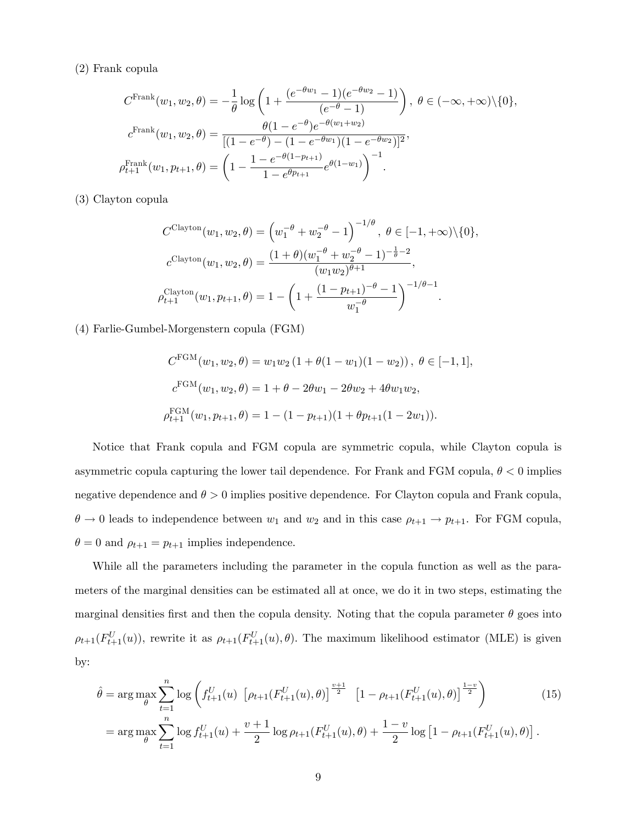#### (2) Frank copula

$$
C^{\text{Frank}}(w_1, w_2, \theta) = -\frac{1}{\theta} \log \left( 1 + \frac{(e^{-\theta w_1} - 1)(e^{-\theta w_2} - 1)}{(e^{-\theta} - 1)} \right), \ \theta \in (-\infty, +\infty) \setminus \{0\},
$$

$$
c^{\text{Frank}}(w_1, w_2, \theta) = \frac{\theta (1 - e^{-\theta}) e^{-\theta (w_1 + w_2)}}{[(1 - e^{-\theta}) - (1 - e^{-\theta w_1})(1 - e^{-\theta w_2})]^2},
$$

$$
\rho_{t+1}^{\text{Frank}}(w_1, p_{t+1}, \theta) = \left( 1 - \frac{1 - e^{-\theta (1 - p_{t+1})}}{1 - e^{\theta p_{t+1}}} e^{\theta (1 - w_1)} \right)^{-1}.
$$

(3) Clayton copula

$$
C^{\text{Clayton}}(w_1, w_2, \theta) = \left(w_1^{-\theta} + w_2^{-\theta} - 1\right)^{-1/\theta}, \ \theta \in [-1, +\infty) \setminus \{0\},
$$
  

$$
c^{\text{Clayton}}(w_1, w_2, \theta) = \frac{(1+\theta)(w_1^{-\theta} + w_2^{-\theta} - 1)^{-\frac{1}{\theta} - 2}}{(w_1 w_2)^{\theta + 1}},
$$
  

$$
\rho_{t+1}^{\text{Clayton}}(w_1, p_{t+1}, \theta) = 1 - \left(1 + \frac{(1 - p_{t+1})^{-\theta} - 1}{w_1^{-\theta}}\right)^{-1/\theta - 1}.
$$

(4) Farlie-Gumbel-Morgenstern copula (FGM)

$$
C^{FGM}(w_1, w_2, \theta) = w_1 w_2 (1 + \theta(1 - w_1)(1 - w_2)), \ \theta \in [-1, 1],
$$
  

$$
c^{FGM}(w_1, w_2, \theta) = 1 + \theta - 2\theta w_1 - 2\theta w_2 + 4\theta w_1 w_2,
$$
  

$$
\rho_{t+1}^{FGM}(w_1, p_{t+1}, \theta) = 1 - (1 - p_{t+1})(1 + \theta p_{t+1}(1 - 2w_1)).
$$

Notice that Frank copula and FGM copula are symmetric copula, while Clayton copula is asymmetric copula capturing the lower tail dependence. For Frank and FGM copula,  $\theta < 0$  implies negative dependence and  $\theta > 0$  implies positive dependence. For Clayton copula and Frank copula,  $\theta \to 0$  leads to independence between  $w_1$  and  $w_2$  and in this case  $\rho_{t+1} \to p_{t+1}$ . For FGM copula,  $\theta = 0$  and  $\rho_{t+1} = p_{t+1}$  implies independence.

While all the parameters including the parameter in the copula function as well as the parameters of the marginal densities can be estimated all at once, we do it in two steps, estimating the marginal densities first and then the copula density. Noting that the copula parameter  $\theta$  goes into  $\rho_{t+1}(F_{t+1}^{U}(u))$ , rewrite it as  $\rho_{t+1}(F_{t+1}^{U}(u),\theta)$ . The maximum likelihood estimator (MLE) is given by:

$$
\hat{\theta} = \arg \max_{\theta} \sum_{t=1}^{n} \log \left( f_{t+1}^{U}(u) \left[ \rho_{t+1}(F_{t+1}^{U}(u), \theta) \right]^{\frac{v+1}{2}} \left[ 1 - \rho_{t+1}(F_{t+1}^{U}(u), \theta) \right]^{\frac{1-v}{2}} \right) \tag{15}
$$
\n
$$
= \arg \max_{\theta} \sum_{t=1}^{n} \log f_{t+1}^{U}(u) + \frac{v+1}{2} \log \rho_{t+1}(F_{t+1}^{U}(u), \theta) + \frac{1-v}{2} \log \left[ 1 - \rho_{t+1}(F_{t+1}^{U}(u), \theta) \right].
$$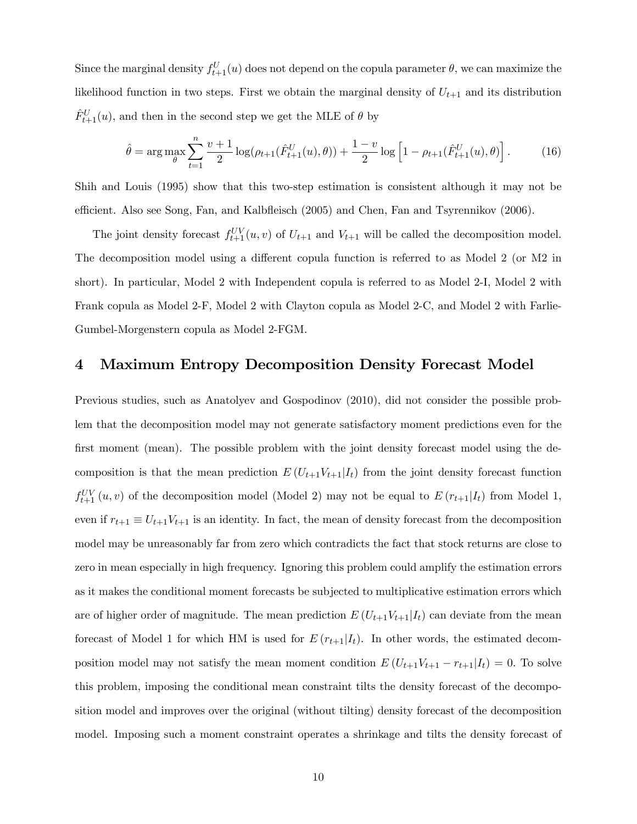Since the marginal density  $f_{t+1}^{U}(u)$  does not depend on the copula parameter  $\theta$ , we can maximize the likelihood function in two steps. First we obtain the marginal density of  $U_{t+1}$  and its distribution  $\hat{F}^U_{t+1}(u)$ , and then in the second step we get the MLE of  $\theta$  by

$$
\hat{\theta} = \arg \max_{\theta} \sum_{t=1}^{n} \frac{v+1}{2} \log(\rho_{t+1}(\hat{F}_{t+1}^{U}(u), \theta)) + \frac{1-v}{2} \log \left[1 - \rho_{t+1}(\hat{F}_{t+1}^{U}(u), \theta)\right].
$$
 (16)

Shih and Louis (1995) show that this two-step estimation is consistent although it may not be efficient. Also see Song, Fan, and Kalbfleisch (2005) and Chen, Fan and Tsyrennikov (2006).

The joint density forecast  $f_{t+1}^{UV}(u, v)$  of  $U_{t+1}$  and  $V_{t+1}$  will be called the decomposition model. The decomposition model using a different copula function is referred to as Model 2 (or M2 in short). In particular, Model 2 with Independent copula is referred to as Model 2-I, Model 2 with Frank copula as Model 2-F, Model 2 with Clayton copula as Model 2-C, and Model 2 with Farlie-Gumbel-Morgenstern copula as Model 2-FGM.

### 4 Maximum Entropy Decomposition Density Forecast Model

Previous studies, such as Anatolyev and Gospodinov (2010), did not consider the possible problem that the decomposition model may not generate satisfactory moment predictions even for the first moment (mean). The possible problem with the joint density forecast model using the decomposition is that the mean prediction  $E(U_{t+1}V_{t+1}|I_t)$  from the joint density forecast function  $f_{t+1}^{UV}(u, v)$  of the decomposition model (Model 2) may not be equal to  $E(r_{t+1}|I_t)$  from Model 1, even if  $r_{t+1} \equiv U_{t+1}V_{t+1}$  is an identity. In fact, the mean of density forecast from the decomposition model may be unreasonably far from zero which contradicts the fact that stock returns are close to zero in mean especially in high frequency. Ignoring this problem could amplify the estimation errors as it makes the conditional moment forecasts be subjected to multiplicative estimation errors which are of higher order of magnitude. The mean prediction  $E(U_{t+1}V_{t+1}|I_t)$  can deviate from the mean forecast of Model 1 for which HM is used for  $E(r_{t+1}|I_t)$ . In other words, the estimated decomposition model may not satisfy the mean moment condition  $E(U_{t+1}V_{t+1} - r_{t+1}|I_t) = 0$ . To solve this problem, imposing the conditional mean constraint tilts the density forecast of the decomposition model and improves over the original (without tilting) density forecast of the decomposition model. Imposing such a moment constraint operates a shrinkage and tilts the density forecast of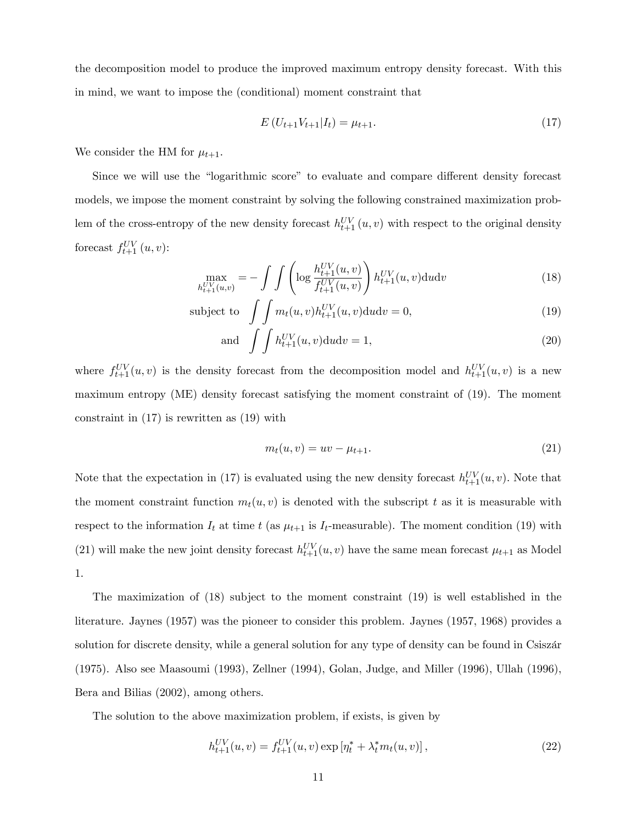the decomposition model to produce the improved maximum entropy density forecast. With this in mind, we want to impose the (conditional) moment constraint that

$$
E\left(U_{t+1}V_{t+1}|I_t\right) = \mu_{t+1}.\tag{17}
$$

We consider the HM for  $\mu_{t+1}$ .

Since we will use the "logarithmic score" to evaluate and compare different density forecast models, we impose the moment constraint by solving the following constrained maximization problem of the cross-entropy of the new density forecast  $h_{t+1}^{UV}(u, v)$  with respect to the original density forecast  $f_{t+1}^{UV}(u, v)$ :

$$
\max_{h_{t+1}^{UV}(u,v)} = -\int \int \left( \log \frac{h_{t+1}^{UV}(u,v)}{f_{t+1}^{UV}(u,v)} \right) h_{t+1}^{UV}(u,v) \, \mathrm{d}u \, \mathrm{d}v \tag{18}
$$

subject to 
$$
\int \int m_t(u,v) h_{t+1}^{UV}(u,v) \, du \, dv = 0,
$$
\n(19)

and 
$$
\int \int h_{t+1}^{UV}(u,v) \mathrm{d}u \mathrm{d}v = 1,
$$
\n(20)

where  $f_{t+1}^{UV}(u, v)$  is the density forecast from the decomposition model and  $h_{t+1}^{UV}(u, v)$  is a new maximum entropy (ME) density forecast satisfying the moment constraint of (19). The moment constraint in (17) is rewritten as (19) with

$$
m_t(u, v) = uv - \mu_{t+1}.
$$
\n(21)

Note that the expectation in (17) is evaluated using the new density forecast  $h_{t+1}^{UV}(u, v)$ . Note that the moment constraint function  $m_t(u, v)$  is denoted with the subscript t as it is measurable with respect to the information  $I_t$  at time t (as  $\mu_{t+1}$  is  $I_t$ -measurable). The moment condition (19) with (21) will make the new joint density forecast  $h_{t+1}^{UV}(u, v)$  have the same mean forecast  $\mu_{t+1}$  as Model 1.

The maximization of (18) subject to the moment constraint (19) is well established in the literature. Jaynes (1957) was the pioneer to consider this problem. Jaynes (1957, 1968) provides a solution for discrete density, while a general solution for any type of density can be found in Csiszár (1975). Also see Maasoumi (1993), Zellner (1994), Golan, Judge, and Miller (1996), Ullah (1996), Bera and Bilias (2002), among others.

The solution to the above maximization problem, if exists, is given by

$$
h_{t+1}^{UV}(u,v) = f_{t+1}^{UV}(u,v) \exp\left[\eta_t^* + \lambda_t^* m_t(u,v)\right],\tag{22}
$$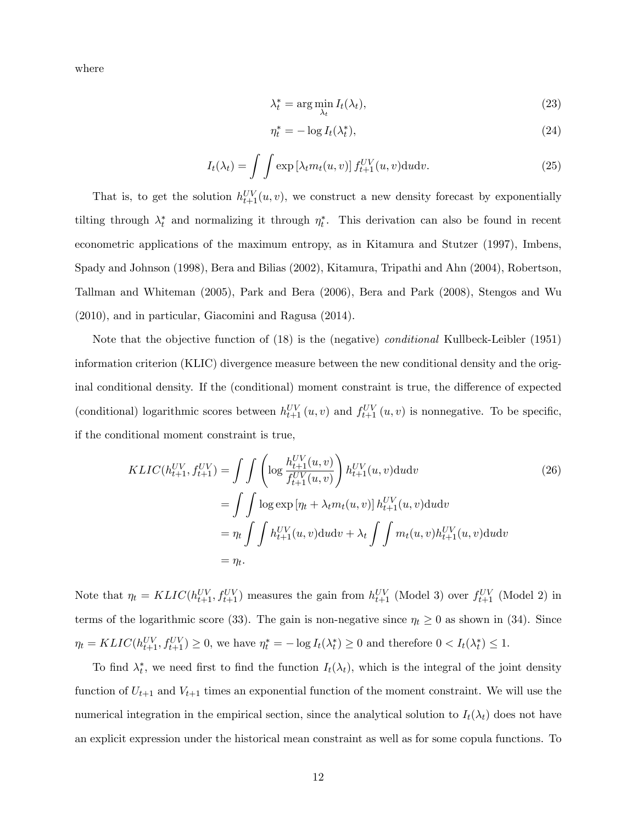where

$$
\lambda_t^* = \arg\min_{\lambda_t} I_t(\lambda_t),\tag{23}
$$

$$
\eta_t^* = -\log I_t(\lambda_t^*),\tag{24}
$$

$$
I_t(\lambda_t) = \int \int \exp\left[\lambda_t m_t(u, v)\right] f_{t+1}^{UV}(u, v) \, du \, dv. \tag{25}
$$

That is, to get the solution  $h_{t+1}^{UV}(u, v)$ , we construct a new density forecast by exponentially tilting through  $\lambda_t^*$  and normalizing it through  $\eta_t^*$ . This derivation can also be found in recent econometric applications of the maximum entropy, as in Kitamura and Stutzer (1997), Imbens, Spady and Johnson (1998), Bera and Bilias (2002), Kitamura, Tripathi and Ahn (2004), Robertson, Tallman and Whiteman (2005), Park and Bera (2006), Bera and Park (2008), Stengos and Wu (2010), and in particular, Giacomini and Ragusa (2014).

 $\overline{1}$ 

Note that the objective function of (18) is the (negative) conditional Kullbeck-Leibler (1951) information criterion (KLIC) divergence measure between the new conditional density and the original conditional density. If the (conditional) moment constraint is true, the difference of expected (conditional) logarithmic scores between  $h_{t+1}^{UV}(u, v)$  and  $f_{t+1}^{UV}(u, v)$  is nonnegative. To be specific, if the conditional moment constraint is true,

$$
KLIC(h_{t+1}^{UV}, f_{t+1}^{UV}) = \int \int \left( \log \frac{h_{t+1}^{UV}(u, v)}{f_{t+1}^{UV}(u, v)} \right) h_{t+1}^{UV}(u, v) \text{d}u \text{d}v
$$
  
\n
$$
= \int \int \log \exp \left[ \eta_t + \lambda_t m_t(u, v) \right] h_{t+1}^{UV}(u, v) \text{d}u \text{d}v
$$
  
\n
$$
= \eta_t \int \int h_{t+1}^{UV}(u, v) \text{d}u \text{d}v + \lambda_t \int \int m_t(u, v) h_{t+1}^{UV}(u, v) \text{d}u \text{d}v
$$
  
\n
$$
= \eta_t.
$$
 (26)

Note that  $\eta_t = KLIC(h_{t+1}^{UV}, f_{t+1}^{UV})$  measures the gain from  $h_{t+1}^{UV}$  (Model 3) over  $f_{t+1}^{UV}$  (Model 2) in terms of the logarithmic score (33). The gain is non-negative since  $\eta_t \geq 0$  as shown in (34). Since  $\eta_t = KLIC(h_{t+1}^{UV}, f_{t+1}^{UV}) \ge 0$ , we have  $\eta_t^* = -\log I_t(\lambda_t^*) \ge 0$  and therefore  $0 < I_t(\lambda_t^*) \le 1$ .

To find  $\lambda_t^*$ , we need first to find the function  $I_t(\lambda_t)$ , which is the integral of the joint density function of  $U_{t+1}$  and  $V_{t+1}$  times an exponential function of the moment constraint. We will use the numerical integration in the empirical section, since the analytical solution to  $I_t(\lambda_t)$  does not have an explicit expression under the historical mean constraint as well as for some copula functions. To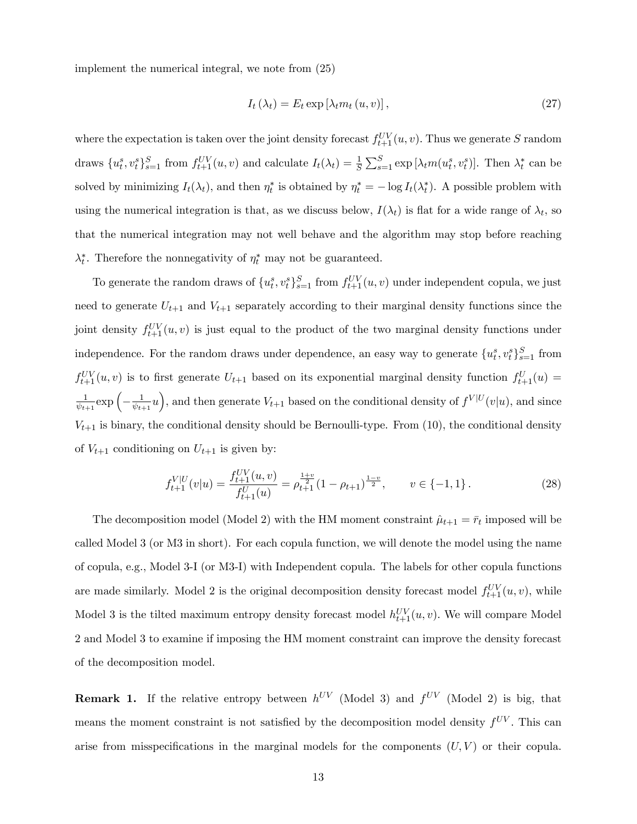implement the numerical integral, we note from (25)

$$
I_t(\lambda_t) = E_t \exp\left[\lambda_t m_t(u, v)\right],\tag{27}
$$

where the expectation is taken over the joint density forecast  $f_{t+1}^{UV}(u, v)$ . Thus we generate S random draws  $\{u_t^s, v_t^s\}_{s=1}^S$  from  $f_{t+1}^{UV}(u, v)$  and calculate  $I_t(\lambda_t) = \frac{1}{S} \sum_{s=1}^S \exp[\lambda_t m(u_t^s, v_t^s)]$ . Then  $\lambda_t^*$  can be solved by minimizing  $I_t(\lambda_t)$ , and then  $\eta_t^*$  is obtained by  $\eta_t^* = -\log I_t(\lambda_t^*)$ . A possible problem with using the numerical integration is that, as we discuss below,  $I(\lambda_t)$  is flat for a wide range of  $\lambda_t$ , so that the numerical integration may not well behave and the algorithm may stop before reaching  $\lambda_t^*$ . Therefore the nonnegativity of  $\eta_t^*$  may not be guaranteed.

To generate the random draws of  $\{u_t^s, v_t^s\}_{s=1}^S$  from  $f_{t+1}^{UV}(u, v)$  under independent copula, we just need to generate  $U_{t+1}$  and  $V_{t+1}$  separately according to their marginal density functions since the joint density  $f_{t+1}^{UV}(u, v)$  is just equal to the product of the two marginal density functions under independence. For the random draws under dependence, an easy way to generate  $\{u_t^s, v_t^s\}_{s=1}^S$  from  $f_{t+1}^{UV}(u, v)$  is to first generate  $U_{t+1}$  based on its exponential marginal density function  $f_{t+1}^{U}(u)$  = 1  $\frac{1}{\psi_{t+1}} \exp \left(-\frac{1}{\psi_{t-1}}\right)$  $\frac{1}{\psi_{t+1}}u$ , and then generate  $V_{t+1}$  based on the conditional density of  $f^{V|U}(v|u)$ , and since  $V_{t+1}$  is binary, the conditional density should be Bernoulli-type. From (10), the conditional density of  $V_{t+1}$  conditioning on  $U_{t+1}$  is given by:

$$
f_{t+1}^{V|U}(v|u) = \frac{f_{t+1}^{UV}(u,v)}{f_{t+1}^{U}(u)} = \rho_{t+1}^{\frac{1+v}{2}} (1 - \rho_{t+1})^{\frac{1-v}{2}}, \qquad v \in \{-1,1\}.
$$
 (28)

The decomposition model (Model 2) with the HM moment constraint  $\hat{\mu}_{t+1} = \bar{r}_t$  imposed will be called Model 3 (or M3 in short). For each copula function, we will denote the model using the name of copula, e.g., Model 3-I (or M3-I) with Independent copula. The labels for other copula functions are made similarly. Model 2 is the original decomposition density forecast model  $f_{t+1}^{UV}(u, v)$ , while Model 3 is the tilted maximum entropy density forecast model  $h_{t+1}^{UV}(u, v)$ . We will compare Model 2 and Model 3 to examine if imposing the HM moment constraint can improve the density forecast of the decomposition model.

**Remark 1.** If the relative entropy between  $h^{UV}$  (Model 3) and  $f^{UV}$  (Model 2) is big, that means the moment constraint is not satisfied by the decomposition model density  $f^{UV}$ . This can arise from misspecifications in the marginal models for the components  $(U, V)$  or their copula.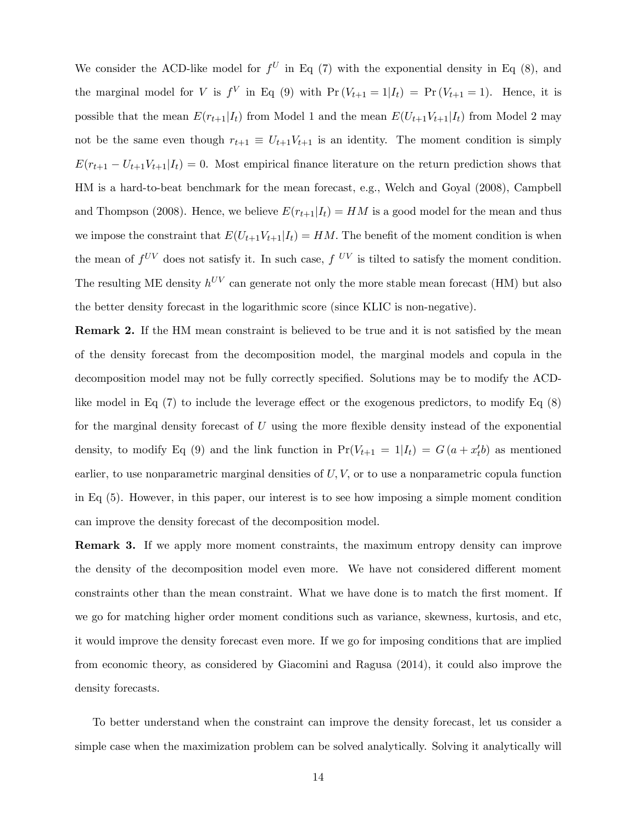We consider the ACD-like model for  $f^U$  in Eq (7) with the exponential density in Eq (8), and the marginal model for V is  $f^V$  in Eq (9) with  $Pr(V_{t+1} = 1 | I_t) = Pr(V_{t+1} = 1)$ . Hence, it is possible that the mean  $E(r_{t+1}|I_t)$  from Model 1 and the mean  $E(U_{t+1}|V_{t+1}|I_t)$  from Model 2 may not be the same even though  $r_{t+1} \equiv U_{t+1}V_{t+1}$  is an identity. The moment condition is simply  $E(r_{t+1} - U_{t+1}V_{t+1}|I_t) = 0$ . Most empirical finance literature on the return prediction shows that HM is a hard-to-beat benchmark for the mean forecast, e.g., Welch and Goyal (2008), Campbell and Thompson (2008). Hence, we believe  $E(r_{t+1}|I_t) = HM$  is a good model for the mean and thus we impose the constraint that  $E(U_{t+1}V_{t+1}|I_t) = HM$ . The benefit of the moment condition is when the mean of  $f^{UV}$  does not satisfy it. In such case,  $f^{UV}$  is tilted to satisfy the moment condition. The resulting ME density  $h^{UV}$  can generate not only the more stable mean forecast (HM) but also the better density forecast in the logarithmic score (since KLIC is non-negative).

**Remark 2.** If the HM mean constraint is believed to be true and it is not satisfied by the mean of the density forecast from the decomposition model, the marginal models and copula in the decomposition model may not be fully correctly specified. Solutions may be to modify the ACDlike model in Eq  $(7)$  to include the leverage effect or the exogenous predictors, to modify Eq  $(8)$ for the marginal density forecast of  $U$  using the more flexible density instead of the exponential density, to modify Eq (9) and the link function in  $Pr(V_{t+1} = 1 | I_t) = G(a + x'_t b)$  as mentioned earlier, to use nonparametric marginal densities of  $U, V$ , or to use a nonparametric copula function in Eq (5). However, in this paper, our interest is to see how imposing a simple moment condition can improve the density forecast of the decomposition model.

Remark 3. If we apply more moment constraints, the maximum entropy density can improve the density of the decomposition model even more. We have not considered different moment constraints other than the mean constraint. What we have done is to match the first moment. If we go for matching higher order moment conditions such as variance, skewness, kurtosis, and etc, it would improve the density forecast even more. If we go for imposing conditions that are implied from economic theory, as considered by Giacomini and Ragusa (2014), it could also improve the density forecasts.

To better understand when the constraint can improve the density forecast, let us consider a simple case when the maximization problem can be solved analytically. Solving it analytically will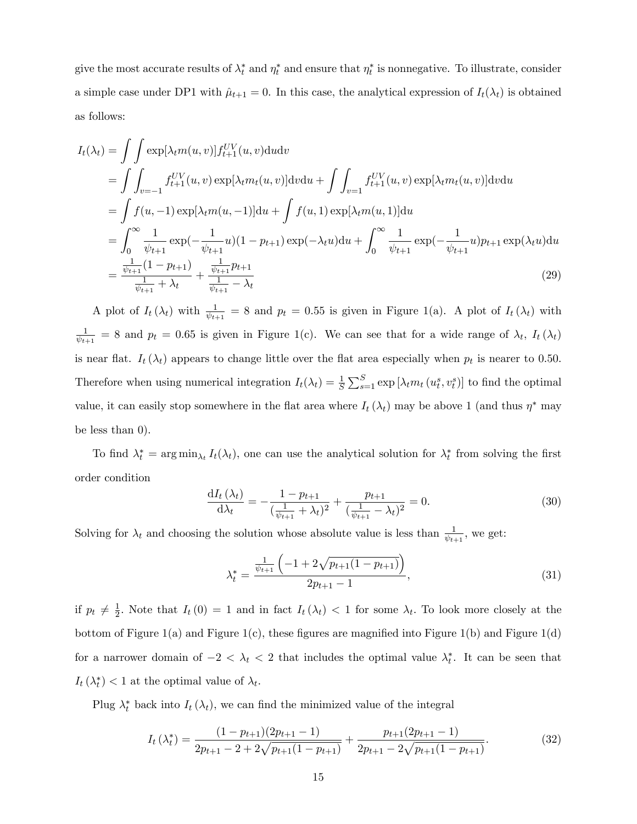give the most accurate results of  $\lambda_t^*$  and  $\eta_t^*$  and ensure that  $\eta_t^*$  is nonnegative. To illustrate, consider a simple case under DP1 with  $\hat{\mu}_{t+1} = 0$ . In this case, the analytical expression of  $I_t(\lambda_t)$  is obtained as follows:

$$
I_{t}(\lambda_{t}) = \int \int \exp[\lambda_{t}m(u,v)]f_{t+1}^{UV}(u,v) \text{d}u \text{d}v
$$
  
\n
$$
= \int \int_{v=-1}^{v} f_{t+1}^{UV}(u,v) \exp[\lambda_{t}m_{t}(u,v)] \text{d}v \text{d}u + \int \int_{v=1}^{v} f_{t+1}^{UV}(u,v) \exp[\lambda_{t}m_{t}(u,v)] \text{d}v \text{d}u
$$
  
\n
$$
= \int f(u,-1) \exp[\lambda_{t}m(u,-1)] \text{d}u + \int f(u,1) \exp[\lambda_{t}m(u,1)] \text{d}u
$$
  
\n
$$
= \int_{0}^{\infty} \frac{1}{\psi_{t+1}} \exp(-\frac{1}{\psi_{t+1}}u)(1-p_{t+1}) \exp(-\lambda_{t}u) \text{d}u + \int_{0}^{\infty} \frac{1}{\psi_{t+1}} \exp(-\frac{1}{\psi_{t+1}}u)p_{t+1} \exp(\lambda_{t}u) \text{d}u
$$
  
\n
$$
= \frac{\frac{1}{\psi_{t+1}}(1-p_{t+1})}{\frac{1}{\psi_{t+1}} + \lambda_{t}} + \frac{\frac{1}{\psi_{t+1}}p_{t+1}}{\frac{1}{\psi_{t+1}} - \lambda_{t}}
$$
(29)

A plot of  $I_t(\lambda_t)$  with  $\frac{1}{\psi_{t+1}} = 8$  and  $p_t = 0.55$  is given in Figure 1(a). A plot of  $I_t(\lambda_t)$  with 1  $\frac{1}{\psi_{t+1}} = 8$  and  $p_t = 0.65$  is given in Figure 1(c). We can see that for a wide range of  $\lambda_t$ ,  $I_t(\lambda_t)$ is near flat.  $I_t(\lambda_t)$  appears to change little over the flat area especially when  $p_t$  is nearer to 0.50. Therefore when using numerical integration  $I_t(\lambda_t) = \frac{1}{S} \sum_{s=1}^S \exp\left[\lambda_t m_t (u_t^s, v_t^s)\right]$  to find the optimal value, it can easily stop somewhere in the flat area where  $I_t(\lambda_t)$  may be above 1 (and thus  $\eta^*$  may be less than 0):

To find  $\lambda_t^* = \arg \min_{\lambda_t} I_t(\lambda_t)$ , one can use the analytical solution for  $\lambda_t^*$  from solving the first order condition

$$
\frac{dI_t(\lambda_t)}{d\lambda_t} = -\frac{1 - p_{t+1}}{(\frac{1}{\psi_{t+1}} + \lambda_t)^2} + \frac{p_{t+1}}{(\frac{1}{\psi_{t+1}} - \lambda_t)^2} = 0.
$$
\n(30)

Solving for  $\lambda_t$  and choosing the solution whose absolute value is less than  $\frac{1}{\psi_{t+1}}$ , we get:

$$
\lambda_t^* = \frac{\frac{1}{\psi_{t+1}} \left( -1 + 2\sqrt{p_{t+1}(1 - p_{t+1})} \right)}{2p_{t+1} - 1},\tag{31}
$$

if  $p_t \neq \frac{1}{2}$  $\frac{1}{2}$ . Note that  $I_t(0) = 1$  and in fact  $I_t(\lambda_t) < 1$  for some  $\lambda_t$ . To look more closely at the bottom of Figure 1(a) and Figure 1(c), these figures are magnified into Figure 1(b) and Figure 1(d) for a narrower domain of  $-2 < \lambda_t < 2$  that includes the optimal value  $\lambda_t^*$ . It can be seen that  $I_t(\lambda_t^*) < 1$  at the optimal value of  $\lambda_t$ .

Plug  $\lambda_t^*$  back into  $I_t(\lambda_t)$ , we can find the minimized value of the integral

$$
I_t(\lambda_t^*) = \frac{(1 - p_{t+1})(2p_{t+1} - 1)}{2p_{t+1} - 2 + 2\sqrt{p_{t+1}(1 - p_{t+1})}} + \frac{p_{t+1}(2p_{t+1} - 1)}{2p_{t+1} - 2\sqrt{p_{t+1}(1 - p_{t+1})}}.
$$
(32)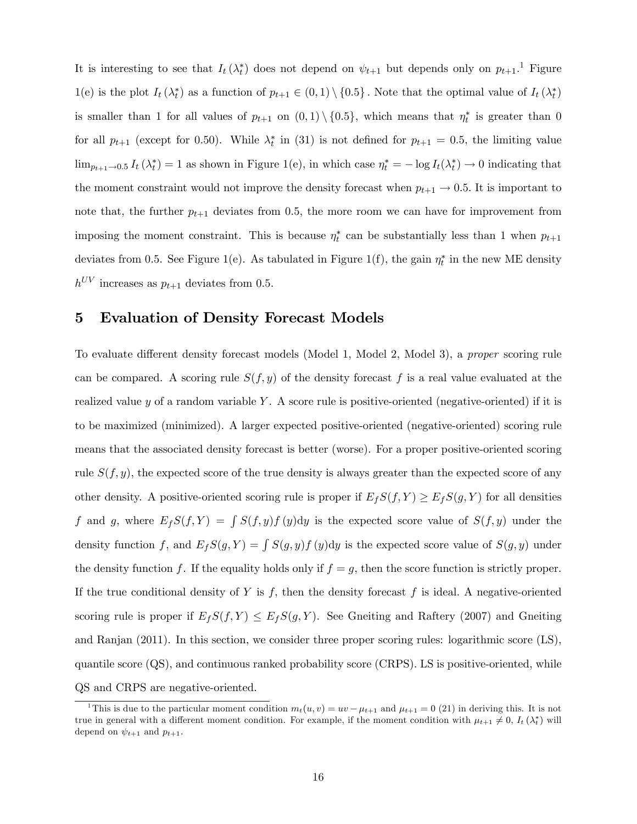It is interesting to see that  $I_t(\lambda_t^*)$  does not depend on  $\psi_{t+1}$  but depends only on  $p_{t+1}$ .<sup>1</sup> Figure 1(e) is the plot  $I_t(\lambda_t^*)$  as a function of  $p_{t+1} \in (0,1) \setminus \{0.5\}$ . Note that the optimal value of  $I_t(\lambda_t^*)$ is smaller than 1 for all values of  $p_{t+1}$  on  $(0,1) \setminus \{0.5\}$ , which means that  $\eta_t^*$  is greater than 0 for all  $p_{t+1}$  (except for 0.50). While  $\lambda_t^*$  in (31) is not defined for  $p_{t+1} = 0.5$ , the limiting value  $\lim_{p_{t+1}\to 0.5} I_t(\lambda_t^*) = 1$  as shown in Figure 1(e), in which case  $\eta_t^* = -\log I_t(\lambda_t^*) \to 0$  indicating that the moment constraint would not improve the density forecast when  $p_{t+1} \rightarrow 0.5$ . It is important to note that, the further  $p_{t+1}$  deviates from 0.5, the more room we can have for improvement from imposing the moment constraint. This is because  $\eta_t^*$  can be substantially less than 1 when  $p_{t+1}$ deviates from 0.5. See Figure 1(e). As tabulated in Figure 1(f), the gain  $\eta_t^*$  in the new ME density  $h^{UV}$  increases as  $p_{t+1}$  deviates from 0.5.

## 5 Evaluation of Density Forecast Models

To evaluate different density forecast models (Model 1, Model 2, Model 3), a *proper* scoring rule can be compared. A scoring rule  $S(f, y)$  of the density forecast f is a real value evaluated at the realized value  $y$  of a random variable Y. A score rule is positive-oriented (negative-oriented) if it is to be maximized (minimized). A larger expected positive-oriented (negative-oriented) scoring rule means that the associated density forecast is better (worse). For a proper positive-oriented scoring rule  $S(f, y)$ , the expected score of the true density is always greater than the expected score of any other density. A positive-oriented scoring rule is proper if  $E_fS(f, Y) \ge E_fS(g, Y)$  for all densities f and g, where  $E_fS(f, Y) = \int S(f, y)f(y)dy$  is the expected score value of  $S(f, y)$  under the density function f, and  $E_fS(g, Y) = \int S(g, y)f(y)dy$  is the expected score value of  $S(g, y)$  under the density function f. If the equality holds only if  $f = g$ , then the score function is strictly proper. If the true conditional density of Y is  $f$ , then the density forecast  $f$  is ideal. A negative-oriented scoring rule is proper if  $E_fS(f, Y) \leq E_fS(g, Y)$ . See Gneiting and Raftery (2007) and Gneiting and Ranjan (2011). In this section, we consider three proper scoring rules: logarithmic score (LS), quantile score (QS), and continuous ranked probability score (CRPS). LS is positive-oriented, while QS and CRPS are negative-oriented.

<sup>&</sup>lt;sup>1</sup>This is due to the particular moment condition  $m_t(u, v) = uv - \mu_{t+1}$  and  $\mu_{t+1} = 0$  (21) in deriving this. It is not true in general with a different moment condition. For example, if the moment condition with  $\mu_{t+1} \neq 0$ ,  $I_t(\lambda_t^*)$  will depend on  $\psi_{t+1}$  and  $p_{t+1}$ .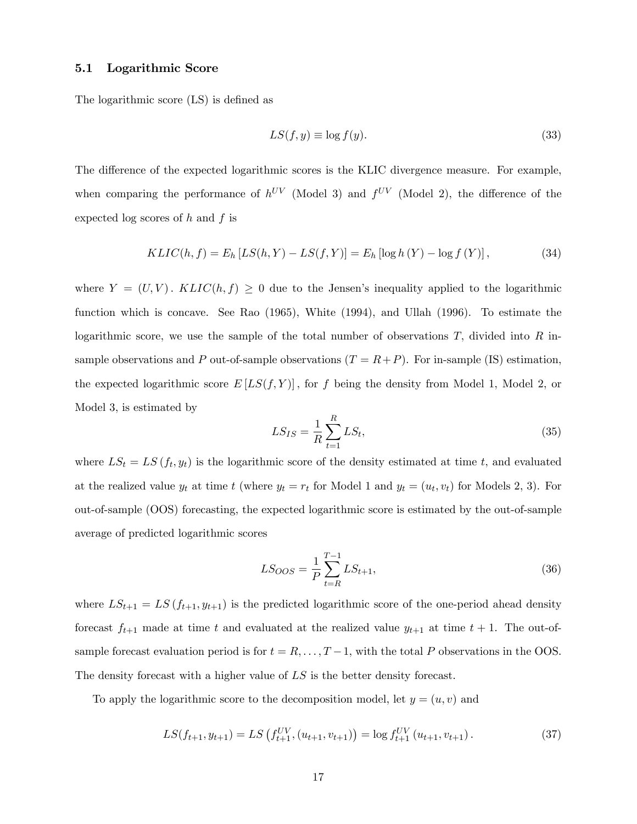#### 5.1 Logarithmic Score

The logarithmic score (LS) is defined as

$$
LS(f, y) \equiv \log f(y). \tag{33}
$$

The difference of the expected logarithmic scores is the KLIC divergence measure. For example, when comparing the performance of  $h^{UV}$  (Model 3) and  $f^{UV}$  (Model 2), the difference of the expected log scores of  $h$  and  $f$  is

$$
KLIC(h, f) = E_h [LS(h, Y) - LS(f, Y)] = E_h [\log h(Y) - \log f(Y)], \qquad (34)
$$

where  $Y = (U, V)$ .  $KLIC(h, f) \geq 0$  due to the Jensen's inequality applied to the logarithmic function which is concave. See Rao (1965), White (1994), and Ullah (1996). To estimate the logarithmic score, we use the sample of the total number of observations  $T$ , divided into  $R$  insample observations and P out-of-sample observations  $(T = R + P)$ . For in-sample (IS) estimation, the expected logarithmic score  $E[LS(f, Y)]$ , for f being the density from Model 1, Model 2, or Model 3, is estimated by

$$
LS_{IS} = \frac{1}{R} \sum_{t=1}^{R} LS_t,
$$
\n(35)

where  $LS_t = LS(f_t, y_t)$  is the logarithmic score of the density estimated at time t, and evaluated at the realized value  $y_t$  at time t (where  $y_t = r_t$  for Model 1 and  $y_t = (u_t, v_t)$  for Models 2, 3). For out-of-sample (OOS) forecasting, the expected logarithmic score is estimated by the out-of-sample average of predicted logarithmic scores

$$
LS_{OOS} = \frac{1}{P} \sum_{t=R}^{T-1} LS_{t+1},\tag{36}
$$

where  $LS_{t+1} = LS(f_{t+1}, y_{t+1})$  is the predicted logarithmic score of the one-period ahead density forecast  $f_{t+1}$  made at time t and evaluated at the realized value  $y_{t+1}$  at time  $t + 1$ . The out-ofsample forecast evaluation period is for  $t = R, \ldots, T-1$ , with the total P observations in the OOS. The density forecast with a higher value of LS is the better density forecast.

To apply the logarithmic score to the decomposition model, let  $y = (u, v)$  and

$$
LS(f_{t+1}, y_{t+1}) = LS\left(f_{t+1}^{UV}, (u_{t+1}, v_{t+1})\right) = \log f_{t+1}^{UV}(u_{t+1}, v_{t+1}).
$$
\n(37)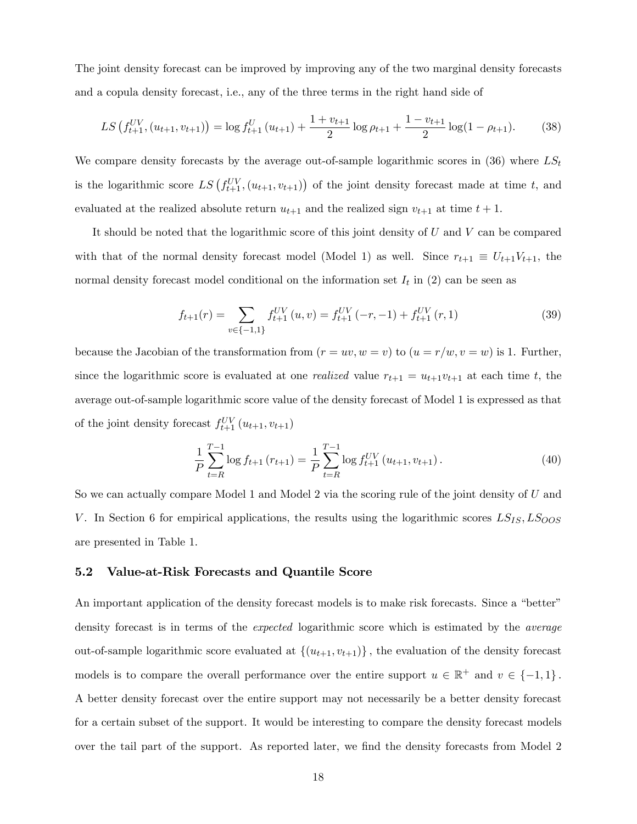The joint density forecast can be improved by improving any of the two marginal density forecasts and a copula density forecast, i.e., any of the three terms in the right hand side of

$$
LS\left(f_{t+1}^{UV}, (u_{t+1}, v_{t+1})\right) = \log f_{t+1}^{U}\left(u_{t+1}\right) + \frac{1 + v_{t+1}}{2}\log \rho_{t+1} + \frac{1 - v_{t+1}}{2}\log(1 - \rho_{t+1}).\tag{38}
$$

We compare density forecasts by the average out-of-sample logarithmic scores in  $(36)$  where  $LS_t$ is the logarithmic score  $LS(f_{t+1}^{UV}, (u_{t+1}, v_{t+1}))$  of the joint density forecast made at time t, and evaluated at the realized absolute return  $u_{t+1}$  and the realized sign  $v_{t+1}$  at time  $t + 1$ .

It should be noted that the logarithmic score of this joint density of  $U$  and  $V$  can be compared with that of the normal density forecast model (Model 1) as well. Since  $r_{t+1} \equiv U_{t+1}V_{t+1}$ , the normal density forecast model conditional on the information set  $I_t$  in (2) can be seen as

$$
f_{t+1}(r) = \sum_{v \in \{-1,1\}} f_{t+1}^{UV}(u,v) = f_{t+1}^{UV}(-r,-1) + f_{t+1}^{UV}(r,1)
$$
 (39)

because the Jacobian of the transformation from  $(r = uv, w = v)$  to  $(u = r/w, v = w)$  is 1. Further, since the logarithmic score is evaluated at one *realized* value  $r_{t+1} = u_{t+1}v_{t+1}$  at each time t, the average out-of-sample logarithmic score value of the density forecast of Model 1 is expressed as that of the joint density forecast  $f_{t+1}^{UV}(u_{t+1}, v_{t+1})$ 

$$
\frac{1}{P} \sum_{t=R}^{T-1} \log f_{t+1}(r_{t+1}) = \frac{1}{P} \sum_{t=R}^{T-1} \log f_{t+1}^{UV}(u_{t+1}, v_{t+1}).
$$
\n(40)

So we can actually compare Model 1 and Model 2 via the scoring rule of the joint density of U and V. In Section 6 for empirical applications, the results using the logarithmic scores  $LS_{IS}, LS_{OOS}$ are presented in Table 1.

#### 5.2 Value-at-Risk Forecasts and Quantile Score

An important application of the density forecast models is to make risk forecasts. Since a "better" density forecast is in terms of the expected logarithmic score which is estimated by the average out-of-sample logarithmic score evaluated at  $\{(u_{t+1}, v_{t+1})\}\$ , the evaluation of the density forecast models is to compare the overall performance over the entire support  $u \in \mathbb{R}^+$  and  $v \in \{-1,1\}$ . A better density forecast over the entire support may not necessarily be a better density forecast for a certain subset of the support. It would be interesting to compare the density forecast models over the tail part of the support. As reported later, we find the density forecasts from Model 2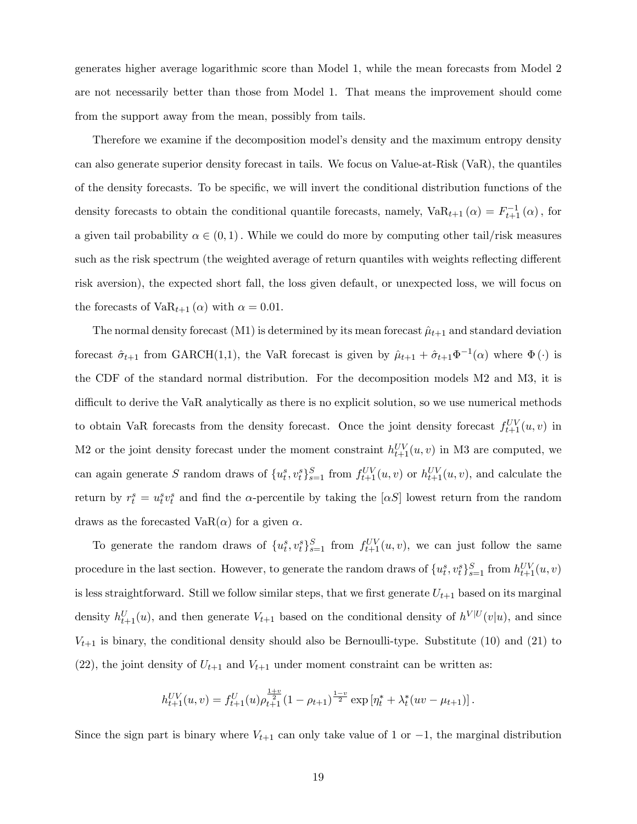generates higher average logarithmic score than Model 1, while the mean forecasts from Model 2 are not necessarily better than those from Model 1. That means the improvement should come from the support away from the mean, possibly from tails.

Therefore we examine if the decomposition model's density and the maximum entropy density can also generate superior density forecast in tails. We focus on Value-at-Risk (VaR), the quantiles of the density forecasts. To be specific, we will invert the conditional distribution functions of the density forecasts to obtain the conditional quantile forecasts, namely,  $VaR_{t+1}(\alpha) = F_{t+1}^{-1}(\alpha)$ , for a given tail probability  $\alpha \in (0, 1)$ . While we could do more by computing other tail/risk measures such as the risk spectrum (the weighted average of return quantiles with weights reflecting different risk aversion), the expected short fall, the loss given default, or unexpected loss, we will focus on the forecasts of Va $R_{t+1}(\alpha)$  with  $\alpha = 0.01$ .

The normal density forecast  $(M1)$  is determined by its mean forecast  $\hat{\mu}_{t+1}$  and standard deviation forecast  $\hat{\sigma}_{t+1}$  from GARCH(1,1), the VaR forecast is given by  $\hat{\mu}_{t+1} + \hat{\sigma}_{t+1} \Phi^{-1}(\alpha)$  where  $\Phi(\cdot)$  is the CDF of the standard normal distribution. For the decomposition models M2 and M3, it is difficult to derive the VaR analytically as there is no explicit solution, so we use numerical methods to obtain VaR forecasts from the density forecast. Once the joint density forecast  $f_{t+1}^{UV}(u, v)$  in M2 or the joint density forecast under the moment constraint  $h_{t+1}^{UV}(u, v)$  in M3 are computed, we can again generate S random draws of  $\{u_t^s, v_t^s\}_{s=1}^S$  from  $f_{t+1}^{UV}(u, v)$  or  $h_{t+1}^{UV}(u, v)$ , and calculate the return by  $r_t^s = u_t^s v_t^s$  and find the  $\alpha$ -percentile by taking the  $[\alpha S]$  lowest return from the random draws as the forecasted VaR( $\alpha$ ) for a given  $\alpha$ .

To generate the random draws of  $\{u_t^s, v_t^s\}_{s=1}^S$  from  $f_{t+1}^{UV}(u, v)$ , we can just follow the same procedure in the last section. However, to generate the random draws of  $\{u_t^s, v_t^s\}_{s=1}^S$  from  $h_{t+1}^{UV}(u, v)$ is less straightforward. Still we follow similar steps, that we first generate  $U_{t+1}$  based on its marginal density  $h_{t+1}^U(u)$ , and then generate  $V_{t+1}$  based on the conditional density of  $h^{V|U}(v|u)$ , and since  $V_{t+1}$  is binary, the conditional density should also be Bernoulli-type. Substitute (10) and (21) to (22), the joint density of  $U_{t+1}$  and  $V_{t+1}$  under moment constraint can be written as:

$$
h_{t+1}^{UV}(u,v) = f_{t+1}^{U}(u)\rho_{t+1}^{\frac{1+v}{2}}(1-\rho_{t+1})^{\frac{1-v}{2}}\exp\left[\eta_t^* + \lambda_t^*(uv - \mu_{t+1})\right].
$$

Since the sign part is binary where  $V_{t+1}$  can only take value of 1 or  $-1$ , the marginal distribution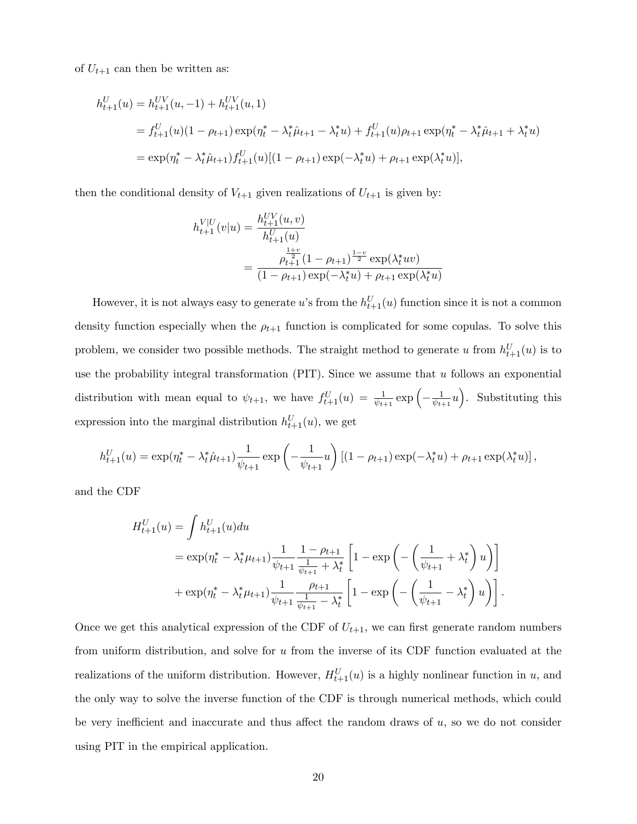of  $U_{t+1}$  can then be written as:

$$
h_{t+1}^{U}(u) = h_{t+1}^{UV}(u, -1) + h_{t+1}^{UV}(u, 1)
$$
  
=  $f_{t+1}^{U}(u)(1 - \rho_{t+1}) \exp(\eta_t^* - \lambda_t^* \hat{\mu}_{t+1} - \lambda_t^* u) + f_{t+1}^{U}(u)\rho_{t+1} \exp(\eta_t^* - \lambda_t^* \hat{\mu}_{t+1} + \lambda_t^* u)$   
=  $\exp(\eta_t^* - \lambda_t^* \hat{\mu}_{t+1}) f_{t+1}^{U}(u)[(1 - \rho_{t+1}) \exp(-\lambda_t^* u) + \rho_{t+1} \exp(\lambda_t^* u)],$ 

then the conditional density of  $V_{t+1}$  given realizations of  $U_{t+1}$  is given by:

$$
h_{t+1}^{V|U}(v|u) = \frac{h_{t+1}^{UV}(u,v)}{h_{t+1}^{U}(u)}
$$
  
= 
$$
\frac{\rho_{t+1}^{\frac{1+v}{2}}(1 - \rho_{t+1})^{\frac{1-v}{2}} \exp(\lambda_t^* uv)}{(1 - \rho_{t+1}) \exp(-\lambda_t^* u) + \rho_{t+1} \exp(\lambda_t^* u)}
$$

However, it is not always easy to generate u's from the  $h_{t+1}^{U}(u)$  function since it is not a common density function especially when the  $\rho_{t+1}$  function is complicated for some copulas. To solve this problem, we consider two possible methods. The straight method to generate u from  $h_{t+1}^{U}(u)$  is to use the probability integral transformation  $(PIT)$ . Since we assume that u follows an exponential distribution with mean equal to  $\psi_{t+1}$ , we have  $f_{t+1}^{U}(u) = \frac{1}{\psi_{t+1}} \exp\left(-\frac{1}{\psi_{t+1}}\right)$  $\frac{1}{\psi_{t+1}}u$ . Substituting this expression into the marginal distribution  $h_{t+1}^U(u)$ , we get

$$
h_{t+1}^U(u) = \exp(\eta_t^* - \lambda_t^* \hat{\mu}_{t+1}) \frac{1}{\psi_{t+1}} \exp\left(-\frac{1}{\psi_{t+1}} u\right) \left[ (1 - \rho_{t+1}) \exp(-\lambda_t^* u) + \rho_{t+1} \exp(\lambda_t^* u) \right],
$$

and the CDF

$$
H_{t+1}^{U}(u) = \int h_{t+1}^{U}(u) du
$$
  
=  $\exp(\eta_t^* - \lambda_t^* \mu_{t+1}) \frac{1}{\psi_{t+1}} \frac{1 - \rho_{t+1}}{\frac{1}{\psi_{t+1}} + \lambda_t^*} \left[ 1 - \exp\left( -\left( \frac{1}{\psi_{t+1}} + \lambda_t^* \right) u \right) \right]$   
+  $\exp(\eta_t^* - \lambda_t^* \mu_{t+1}) \frac{1}{\psi_{t+1}} \frac{\rho_{t+1}}{\frac{1}{\psi_{t+1}} - \lambda_t^*} \left[ 1 - \exp\left( -\left( \frac{1}{\psi_{t+1}} - \lambda_t^* \right) u \right) \right].$ 

Once we get this analytical expression of the CDF of  $U_{t+1}$ , we can first generate random numbers from uniform distribution, and solve for  $u$  from the inverse of its CDF function evaluated at the realizations of the uniform distribution. However,  $H_{t+1}^{U}(u)$  is a highly nonlinear function in u, and the only way to solve the inverse function of the CDF is through numerical methods, which could be very inefficient and inaccurate and thus affect the random draws of  $u$ , so we do not consider using PIT in the empirical application.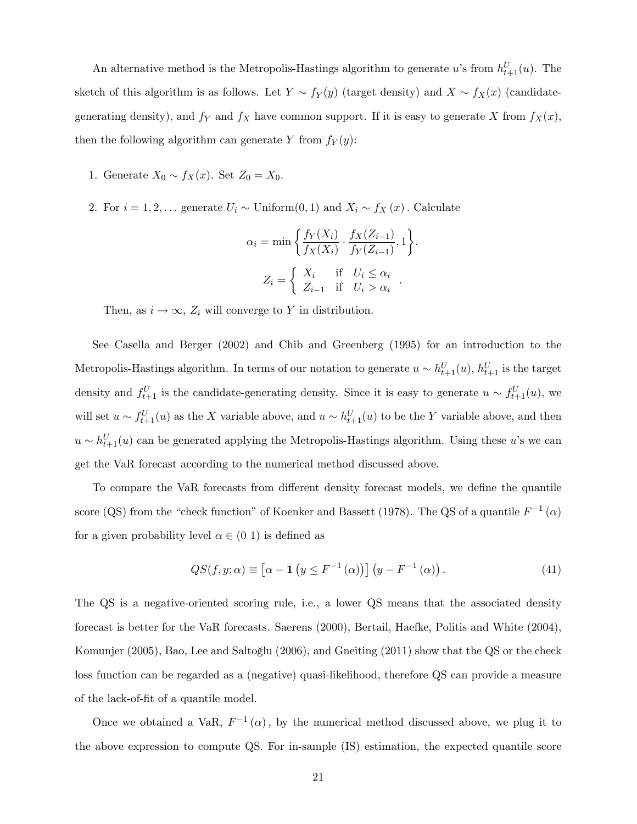An alternative method is the Metropolis-Hastings algorithm to generate u's from  $h_{t+1}^U(u)$ . The sketch of this algorithm is as follows. Let  $Y \sim f_Y(y)$  (target density) and  $X \sim f_X(x)$  (candidategenerating density), and  $f_Y$  and  $f_X$  have common support. If it is easy to generate X from  $f_X(x)$ , then the following algorithm can generate Y from  $f_Y(y)$ :

- 1. Generate  $X_0 \sim f_X(x)$ . Set  $Z_0 = X_0$ .
- 2. For  $i = 1, 2, \ldots$  generate  $U_i \sim$  Uniform $(0, 1)$  and  $X_i \sim f_X(x)$ . Calculate

$$
\alpha_i = \min\left\{\frac{f_Y(X_i)}{f_X(X_i)} \cdot \frac{f_X(Z_{i-1})}{f_Y(Z_{i-1})}, 1\right\}.
$$

$$
Z_i = \left\{\begin{array}{ll} X_i & \text{if} & U_i \le \alpha_i \\ Z_{i-1} & \text{if} & U_i > \alpha_i \end{array}\right..
$$

Then, as  $i \to \infty$ ,  $Z_i$  will converge to Y in distribution.

See Casella and Berger (2002) and Chib and Greenberg (1995) for an introduction to the Metropolis-Hastings algorithm. In terms of our notation to generate  $u \sim h_{t+1}^U(u)$ ,  $h_{t+1}^U$  is the target density and  $f_{t+1}^U$  is the candidate-generating density. Since it is easy to generate  $u \sim f_{t+1}^U(u)$ , we will set  $u \sim f_{t+1}^{U}(u)$  as the X variable above, and  $u \sim h_{t+1}^{U}(u)$  to be the Y variable above, and then  $u \sim h_{t+1}^U(u)$  can be generated applying the Metropolis-Hastings algorithm. Using these u's we can get the VaR forecast according to the numerical method discussed above.

To compare the VaR forecasts from different density forecast models, we define the quantile score (QS) from the "check function" of Koenker and Bassett (1978). The QS of a quantile  $F^{-1}(\alpha)$ for a given probability level  $\alpha \in (0, 1)$  is defined as

$$
QS(f, y; \alpha) \equiv \left[\alpha - \mathbf{1}\left(y \le F^{-1}\left(\alpha\right)\right)\right]\left(y - F^{-1}\left(\alpha\right)\right). \tag{41}
$$

The QS is a negative-oriented scoring rule, i.e., a lower QS means that the associated density forecast is better for the VaR forecasts. Saerens (2000), Bertail, Haefke, Politis and White (2004), Komunjer (2005), Bao, Lee and Saltoğlu (2006), and Gneiting (2011) show that the QS or the check loss function can be regarded as a (negative) quasi-likelihood, therefore QS can provide a measure of the lack-of-Öt of a quantile model.

Once we obtained a VaR,  $F^{-1}(\alpha)$ , by the numerical method discussed above, we plug it to the above expression to compute QS. For in-sample (IS) estimation, the expected quantile score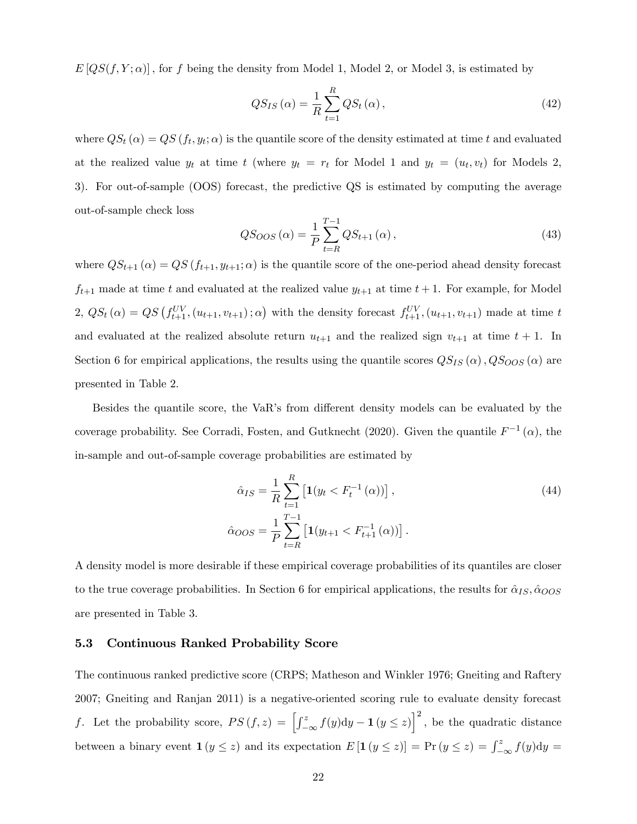$E[QS(f, Y; \alpha)]$ , for f being the density from Model 1, Model 2, or Model 3, is estimated by

$$
QS_{IS}\left(\alpha\right) = \frac{1}{R} \sum_{t=1}^{R} QS_{t}\left(\alpha\right),\tag{42}
$$

where  $QS_t(\alpha) = QS(f_t, y_t; \alpha)$  is the quantile score of the density estimated at time t and evaluated at the realized value  $y_t$  at time t (where  $y_t = r_t$  for Model 1 and  $y_t = (u_t, v_t)$  for Models 2, 3). For out-of-sample (OOS) forecast, the predictive QS is estimated by computing the average out-of-sample check loss

$$
QS_{OOS}(\alpha) = \frac{1}{P} \sum_{t=R}^{T-1} QS_{t+1}(\alpha),
$$
\n(43)

where  $QS_{t+1}(\alpha) = QS(f_{t+1}, y_{t+1}; \alpha)$  is the quantile score of the one-period ahead density forecast  $f_{t+1}$  made at time t and evaluated at the realized value  $y_{t+1}$  at time  $t+1$ . For example, for Model 2,  $QS_t(\alpha) = QS(f_{t+1}^{UV}, (u_{t+1}, v_{t+1}); \alpha)$  with the density forecast  $f_{t+1}^{UV}, (u_{t+1}, v_{t+1})$  made at time t and evaluated at the realized absolute return  $u_{t+1}$  and the realized sign  $v_{t+1}$  at time  $t + 1$ . In Section 6 for empirical applications, the results using the quantile scores  $QS_{IS}(\alpha)$ ,  $QS_{OOS}(\alpha)$  are presented in Table 2.

Besides the quantile score, the VaR's from different density models can be evaluated by the coverage probability. See Corradi, Fosten, and Gutknecht (2020). Given the quantile  $F^{-1}(\alpha)$ , the in-sample and out-of-sample coverage probabilities are estimated by

$$
\hat{\alpha}_{IS} = \frac{1}{R} \sum_{t=1}^{R} \left[ \mathbf{1}(y_t < F_t^{-1}(\alpha)) \right],
$$
\n
$$
\hat{\alpha}_{OOS} = \frac{1}{P} \sum_{t=R}^{T-1} \left[ \mathbf{1}(y_{t+1} < F_{t+1}^{-1}(\alpha)) \right].
$$
\n(44)

A density model is more desirable if these empirical coverage probabilities of its quantiles are closer to the true coverage probabilities. In Section 6 for empirical applications, the results for  $\hat{\alpha}_{IS}, \hat{\alpha}_{OOS}$ are presented in Table 3.

#### 5.3 Continuous Ranked Probability Score

The continuous ranked predictive score (CRPS; Matheson and Winkler 1976; Gneiting and Raftery 2007; Gneiting and Ranjan 2011) is a negative-oriented scoring rule to evaluate density forecast f. Let the probability score,  $PS(f, z) = \left[\int_{-\infty}^{z} f(y) dy - \mathbf{1} (y \leq z)\right]^2$ , be the quadratic distance between a binary event  $\mathbf{1}(y \leq z)$  and its expectation  $E[\mathbf{1}(y \leq z)] = \Pr(y \leq z) = \int_{-\infty}^{z} f(y) dy =$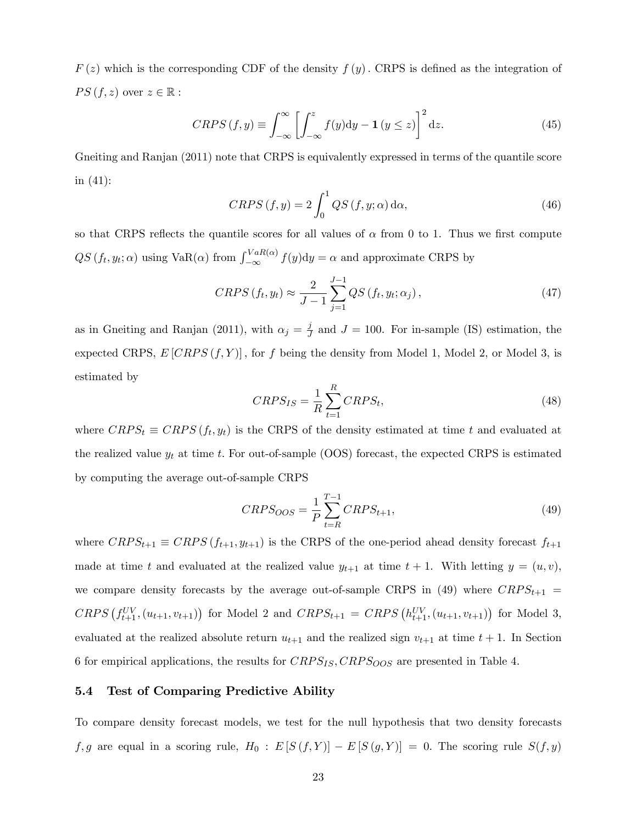$F(z)$  which is the corresponding CDF of the density  $f(y)$ . CRPS is defined as the integration of  $PS(f, z)$  over  $z \in \mathbb{R}$  :

$$
CRPS(f, y) \equiv \int_{-\infty}^{\infty} \left[ \int_{-\infty}^{z} f(y) dy - \mathbf{1} \left( y \le z \right) \right]^{2} dz.
$$
 (45)

Gneiting and Ranjan (2011) note that CRPS is equivalently expressed in terms of the quantile score in (41):

$$
CRPS(f, y) = 2 \int_0^1 QS(f, y; \alpha) d\alpha,
$$
\n(46)

so that CRPS reflects the quantile scores for all values of  $\alpha$  from 0 to 1. Thus we first compute  $QS(f_t, y_t; \alpha)$  using  $VaR(\alpha)$  from  $\int_{-\infty}^{VaR(\alpha)} f(y) dy = \alpha$  and approximate CRPS by

$$
CRPS(f_t, y_t) \approx \frac{2}{J-1} \sum_{j=1}^{J-1} QS(f_t, y_t; \alpha_j), \qquad (47)
$$

as in Gneiting and Ranjan (2011), with  $\alpha_j = \frac{j}{j}$  $\frac{\partial J}{\partial t}$  and  $J = 100$ . For in-sample (IS) estimation, the expected CRPS,  $E[CRPS(f, Y)]$ , for f being the density from Model 1, Model 2, or Model 3, is estimated by

$$
CRPS_{IS} = \frac{1}{R} \sum_{t=1}^{R} CRPS_t,
$$
\n(48)

where  $CRPS_t \equiv CRPS(f_t, y_t)$  is the CRPS of the density estimated at time t and evaluated at the realized value  $y_t$  at time t. For out-of-sample (OOS) forecast, the expected CRPS is estimated by computing the average out-of-sample CRPS

$$
CRPS_{OOS} = \frac{1}{P} \sum_{t=R}^{T-1} CRPS_{t+1},\tag{49}
$$

where  $CRPS_{t+1} \equiv CRPS(f_{t+1}, y_{t+1})$  is the CRPS of the one-period ahead density forecast  $f_{t+1}$ made at time t and evaluated at the realized value  $y_{t+1}$  at time  $t + 1$ . With letting  $y = (u, v)$ , we compare density forecasts by the average out-of-sample CRPS in (49) where  $CRPS_{t+1}$  =  $CRPS(f_{t+1}^{UV}, (u_{t+1}, v_{t+1}))$  for Model 2 and  $CRPS_{t+1} = CRPS(h_{t+1}^{UV}, (u_{t+1}, v_{t+1}))$  for Model 3, evaluated at the realized absolute return  $u_{t+1}$  and the realized sign  $v_{t+1}$  at time  $t + 1$ . In Section 6 for empirical applications, the results for  $CRPS_{IS}, CRPS_{OOS}$  are presented in Table 4.

#### 5.4 Test of Comparing Predictive Ability

To compare density forecast models, we test for the null hypothesis that two density forecasts  $f, g$  are equal in a scoring rule,  $H_0 : E [S(f, Y)] - E [S(g, Y)] = 0$ . The scoring rule  $S(f, y)$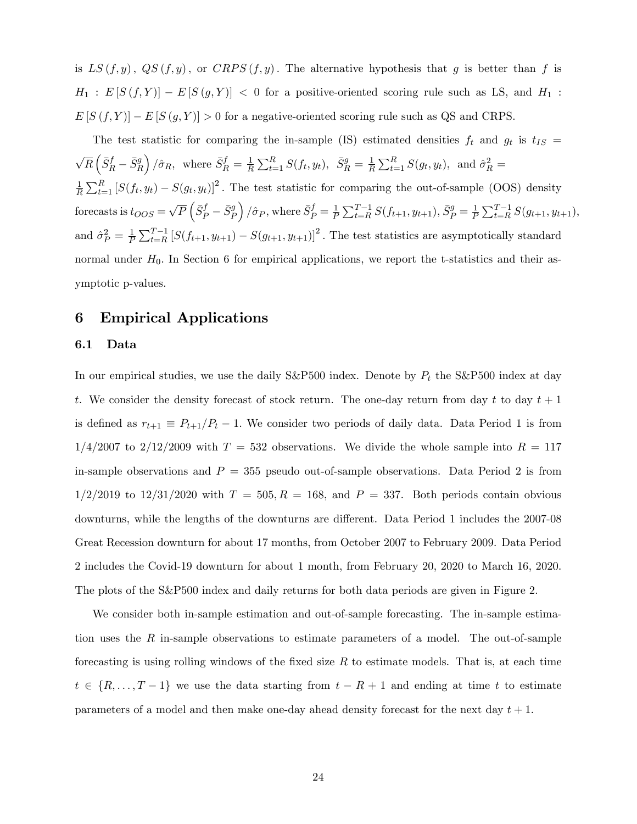is  $LS(f, y)$ ,  $QS(f, y)$ , or  $CRPS(f, y)$ . The alternative hypothesis that g is better than f is  $H_1 : E [S (f, Y)] - E [S (g, Y)] < 0$  for a positive-oriented scoring rule such as LS, and  $H_1$ :  $E[S(f, Y)] - E[S(g, Y)] > 0$  for a negative-oriented scoring rule such as QS and CRPS.

The test statistic for comparing the in-sample (IS) estimated densities  $f_t$  and  $g_t$  is  $t_{IS}$  =  $\sqrt{R}\left( \bar{S}^{f}_{R}-\bar{S}^{g}_{R}\right)$  $\int \hat{\sigma}_R$ , where  $\bar{S}_R^f = \frac{1}{R}$  $\frac{1}{R} \sum_{t=1}^{R} S(f_t, y_t), \ \ \bar{S}_R^g = \frac{1}{R}$  $\frac{1}{R} \sum_{t=1}^{R} S(g_t, y_t)$ , and  $\hat{\sigma}_R^2 =$ 1  $\frac{1}{R}\sum_{t=1}^{R} [S(f_t, y_t) - S(g_t, y_t)]^2$ . The test statistic for comparing the out-of-sample (OOS) density forecasts is  $t_{OOS} = \sqrt{P} \left( \bar{S}_P^f - \bar{S}_P^g \right)$  $\int \hat{\sigma}_P$ , where  $\bar{S}^f_P = \frac{1}{P}$  $\frac{1}{P} \sum_{t=R}^{T-1} S(f_{t+1}, y_{t+1}), \bar{S}_P^g = \frac{1}{P}$  $\frac{1}{P} \sum_{t=R}^{T-1} S(g_{t+1}, y_{t+1}),$ and  $\hat{\sigma}_P^2 = \frac{1}{P}$  $\frac{1}{P}\sum_{t=R}^{T-1} [S(f_{t+1}, y_{t+1}) - S(g_{t+1}, y_{t+1})]^2$ . The test statistics are asymptotically standard normal under  $H_0$ . In Section 6 for empirical applications, we report the t-statistics and their asymptotic p-values.

## 6 Empirical Applications

#### 6.1 Data

In our empirical studies, we use the daily S&P500 index. Denote by  $P_t$  the S&P500 index at day t. We consider the density forecast of stock return. The one-day return from day t to day  $t + 1$ is defined as  $r_{t+1} \equiv P_{t+1}/P_t - 1$ . We consider two periods of daily data. Data Period 1 is from  $1/4/2007$  to  $2/12/2009$  with  $T = 532$  observations. We divide the whole sample into  $R = 117$ in-sample observations and  $P = 355$  pseudo out-of-sample observations. Data Period 2 is from  $1/2/2019$  to  $12/31/2020$  with  $T = 505, R = 168$ , and  $P = 337$ . Both periods contain obvious downturns, while the lengths of the downturns are different. Data Period 1 includes the 2007-08 Great Recession downturn for about 17 months, from October 2007 to February 2009. Data Period 2 includes the Covid-19 downturn for about 1 month, from February 20, 2020 to March 16, 2020. The plots of the S&P500 index and daily returns for both data periods are given in Figure 2.

We consider both in-sample estimation and out-of-sample forecasting. The in-sample estimation uses the  $R$  in-sample observations to estimate parameters of a model. The out-of-sample forecasting is using rolling windows of the fixed size  $R$  to estimate models. That is, at each time  $t \in \{R, \ldots, T - 1\}$  we use the data starting from  $t - R + 1$  and ending at time t to estimate parameters of a model and then make one-day ahead density forecast for the next day  $t + 1$ .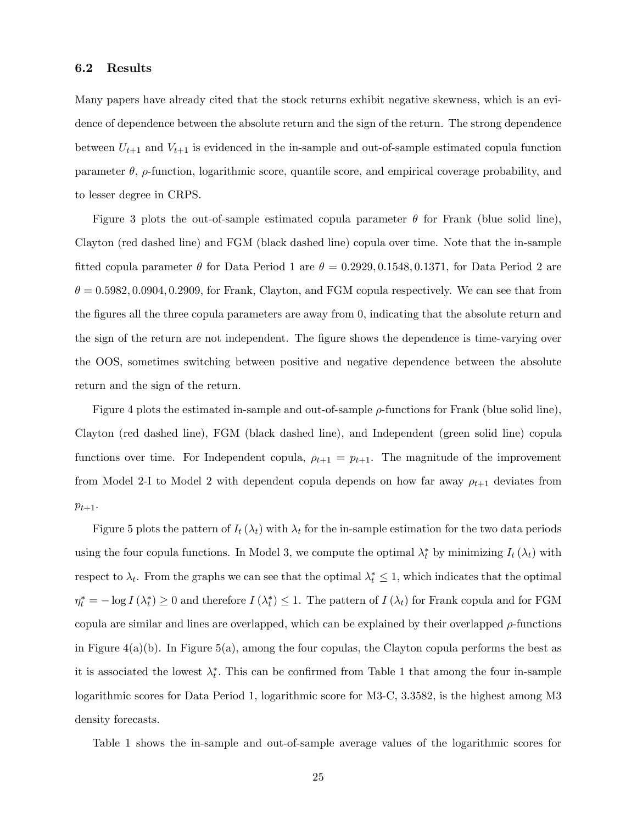#### 6.2 Results

Many papers have already cited that the stock returns exhibit negative skewness, which is an evidence of dependence between the absolute return and the sign of the return. The strong dependence between  $U_{t+1}$  and  $V_{t+1}$  is evidenced in the in-sample and out-of-sample estimated copula function parameter  $\theta$ ,  $\rho$ -function, logarithmic score, quantile score, and empirical coverage probability, and to lesser degree in CRPS.

Figure 3 plots the out-of-sample estimated copula parameter  $\theta$  for Frank (blue solid line), Clayton (red dashed line) and FGM (black dashed line) copula over time. Note that the in-sample fitted copula parameter  $\theta$  for Data Period 1 are  $\theta = 0.2929, 0.1548, 0.1371$ , for Data Period 2 are  $\theta = 0.5982, 0.0904, 0.2909,$  for Frank, Clayton, and FGM copula respectively. We can see that from the figures all the three copula parameters are away from 0, indicating that the absolute return and the sign of the return are not independent. The figure shows the dependence is time-varying over the OOS, sometimes switching between positive and negative dependence between the absolute return and the sign of the return.

Figure 4 plots the estimated in-sample and out-of-sample  $\rho$ -functions for Frank (blue solid line), Clayton (red dashed line), FGM (black dashed line), and Independent (green solid line) copula functions over time. For Independent copula,  $\rho_{t+1} = p_{t+1}$ . The magnitude of the improvement from Model 2-I to Model 2 with dependent copula depends on how far away  $\rho_{t+1}$  deviates from  $p_{t+1}.$ 

Figure 5 plots the pattern of  $I_t(\lambda_t)$  with  $\lambda_t$  for the in-sample estimation for the two data periods using the four copula functions. In Model 3, we compute the optimal  $\lambda_t^*$  by minimizing  $I_t(\lambda_t)$  with respect to  $\lambda_t$ . From the graphs we can see that the optimal  $\lambda_t^* \leq 1$ , which indicates that the optimal  $\eta_t^* = -\log I(\lambda_t^*) \ge 0$  and therefore  $I(\lambda_t^*) \le 1$ . The pattern of  $I(\lambda_t)$  for Frank copula and for FGM copula are similar and lines are overlapped, which can be explained by their overlapped  $\rho$ -functions in Figure  $4(a)(b)$ . In Figure 5(a), among the four copulas, the Clayton copula performs the best as it is associated the lowest  $\lambda_t^*$ . This can be confirmed from Table 1 that among the four in-sample logarithmic scores for Data Period 1, logarithmic score for M3-C, 3:3582; is the highest among M3 density forecasts.

Table 1 shows the in-sample and out-of-sample average values of the logarithmic scores for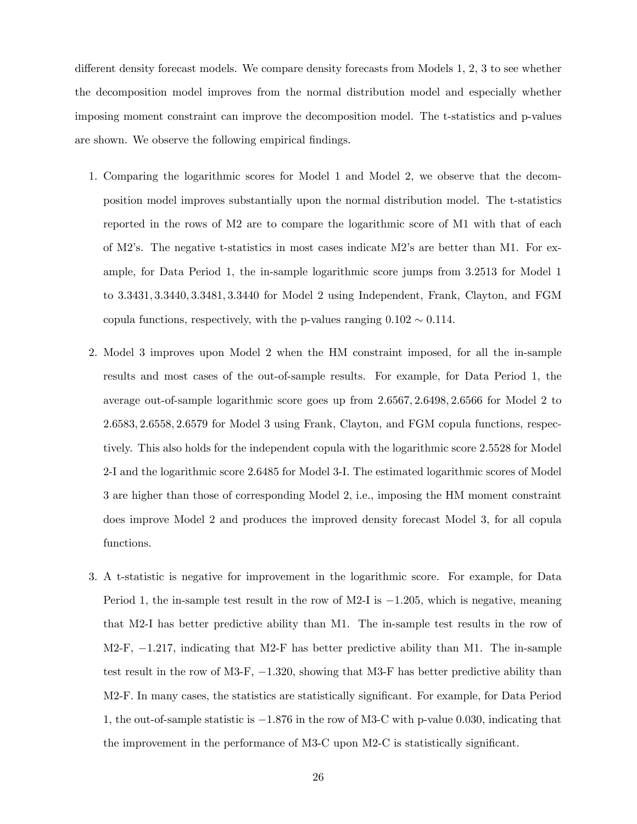different density forecast models. We compare density forecasts from Models  $1, 2, 3$  to see whether the decomposition model improves from the normal distribution model and especially whether imposing moment constraint can improve the decomposition model. The t-statistics and p-values are shown. We observe the following empirical findings.

- 1. Comparing the logarithmic scores for Model 1 and Model 2, we observe that the decomposition model improves substantially upon the normal distribution model. The t-statistics reported in the rows of M2 are to compare the logarithmic score of M1 with that of each of M2ís. The negative t-statistics in most cases indicate M2ís are better than M1. For example, for Data Period 1, the in-sample logarithmic score jumps from 3:2513 for Model 1 to 3:3431; 3:3440; 3:3481; 3:3440 for Model 2 using Independent, Frank, Clayton, and FGM copula functions, respectively, with the p-values ranging  $0.102 \sim 0.114$ .
- 2. Model 3 improves upon Model 2 when the HM constraint imposed, for all the in-sample results and most cases of the out-of-sample results. For example, for Data Period 1, the average out-of-sample logarithmic score goes up from 2:6567; 2:6498; 2:6566 for Model 2 to 2:6583; 2:6558; 2:6579 for Model 3 using Frank, Clayton, and FGM copula functions, respectively. This also holds for the independent copula with the logarithmic score 2:5528 for Model 2-I and the logarithmic score 2:6485 for Model 3-I. The estimated logarithmic scores of Model 3 are higher than those of corresponding Model 2, i.e., imposing the HM moment constraint does improve Model 2 and produces the improved density forecast Model 3, for all copula functions.
- 3. A t-statistic is negative for improvement in the logarithmic score. For example, for Data Period 1, the in-sample test result in the row of M2-I is  $-1.205$ , which is negative, meaning that M2-I has better predictive ability than M1. The in-sample test results in the row of  $M2-F$ ,  $-1.217$ , indicating that M2-F has better predictive ability than M1. The in-sample test result in the row of M3-F,  $-1.320$ , showing that M3-F has better predictive ability than M2-F. In many cases, the statistics are statistically significant. For example, for Data Period 1, the out-of-sample statistic is  $-1.876$  in the row of M3-C with p-value 0.030, indicating that the improvement in the performance of M3-C upon M2-C is statistically significant.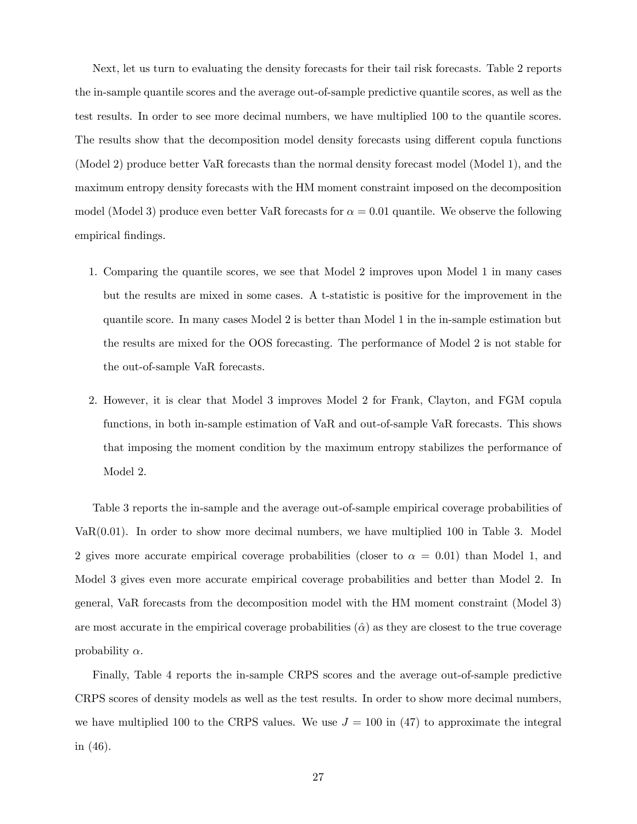Next, let us turn to evaluating the density forecasts for their tail risk forecasts. Table 2 reports the in-sample quantile scores and the average out-of-sample predictive quantile scores, as well as the test results. In order to see more decimal numbers, we have multiplied 100 to the quantile scores. The results show that the decomposition model density forecasts using different copula functions (Model 2) produce better VaR forecasts than the normal density forecast model (Model 1), and the maximum entropy density forecasts with the HM moment constraint imposed on the decomposition model (Model 3) produce even better VaR forecasts for  $\alpha = 0.01$  quantile. We observe the following empirical findings.

- 1. Comparing the quantile scores, we see that Model 2 improves upon Model 1 in many cases but the results are mixed in some cases. A t-statistic is positive for the improvement in the quantile score. In many cases Model 2 is better than Model 1 in the in-sample estimation but the results are mixed for the OOS forecasting. The performance of Model 2 is not stable for the out-of-sample VaR forecasts.
- 2. However, it is clear that Model 3 improves Model 2 for Frank, Clayton, and FGM copula functions, in both in-sample estimation of VaR and out-of-sample VaR forecasts. This shows that imposing the moment condition by the maximum entropy stabilizes the performance of Model 2.

Table 3 reports the in-sample and the average out-of-sample empirical coverage probabilities of  $VaR(0.01)$ . In order to show more decimal numbers, we have multiplied 100 in Table 3. Model 2 gives more accurate empirical coverage probabilities (closer to  $\alpha = 0.01$ ) than Model 1, and Model 3 gives even more accurate empirical coverage probabilities and better than Model 2. In general, VaR forecasts from the decomposition model with the HM moment constraint (Model 3) are most accurate in the empirical coverage probabilities  $(\hat{\alpha})$  as they are closest to the true coverage probability  $\alpha$ .

Finally, Table 4 reports the in-sample CRPS scores and the average out-of-sample predictive CRPS scores of density models as well as the test results. In order to show more decimal numbers, we have multiplied 100 to the CRPS values. We use  $J = 100$  in (47) to approximate the integral in (46).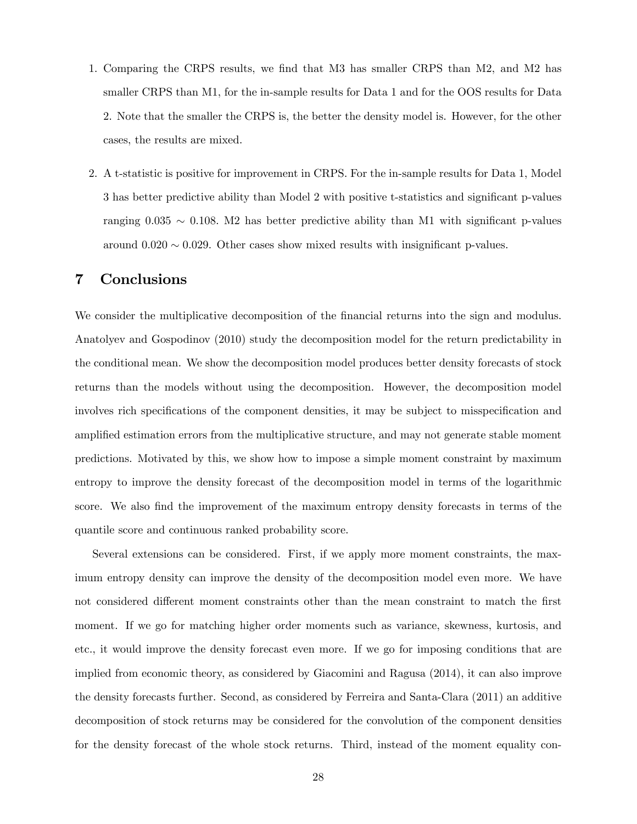- 1. Comparing the CRPS results, we find that M3 has smaller CRPS than M2, and M2 has smaller CRPS than M1, for the in-sample results for Data 1 and for the OOS results for Data 2. Note that the smaller the CRPS is, the better the density model is. However, for the other cases, the results are mixed.
- 2. A t-statistic is positive for improvement in CRPS. For the in-sample results for Data 1, Model 3 has better predictive ability than Model 2 with positive t-statistics and significant p-values ranging  $0.035 \sim 0.108$ . M2 has better predictive ability than M1 with significant p-values around  $0.020 \sim 0.029$ . Other cases show mixed results with insignificant p-values.

## 7 Conclusions

We consider the multiplicative decomposition of the financial returns into the sign and modulus. Anatolyev and Gospodinov (2010) study the decomposition model for the return predictability in the conditional mean. We show the decomposition model produces better density forecasts of stock returns than the models without using the decomposition. However, the decomposition model involves rich specifications of the component densities, it may be subject to misspecification and amplified estimation errors from the multiplicative structure, and may not generate stable moment predictions. Motivated by this, we show how to impose a simple moment constraint by maximum entropy to improve the density forecast of the decomposition model in terms of the logarithmic score. We also find the improvement of the maximum entropy density forecasts in terms of the quantile score and continuous ranked probability score.

Several extensions can be considered. First, if we apply more moment constraints, the maximum entropy density can improve the density of the decomposition model even more. We have not considered different moment constraints other than the mean constraint to match the first moment. If we go for matching higher order moments such as variance, skewness, kurtosis, and etc., it would improve the density forecast even more. If we go for imposing conditions that are implied from economic theory, as considered by Giacomini and Ragusa (2014), it can also improve the density forecasts further. Second, as considered by Ferreira and Santa-Clara (2011) an additive decomposition of stock returns may be considered for the convolution of the component densities for the density forecast of the whole stock returns. Third, instead of the moment equality con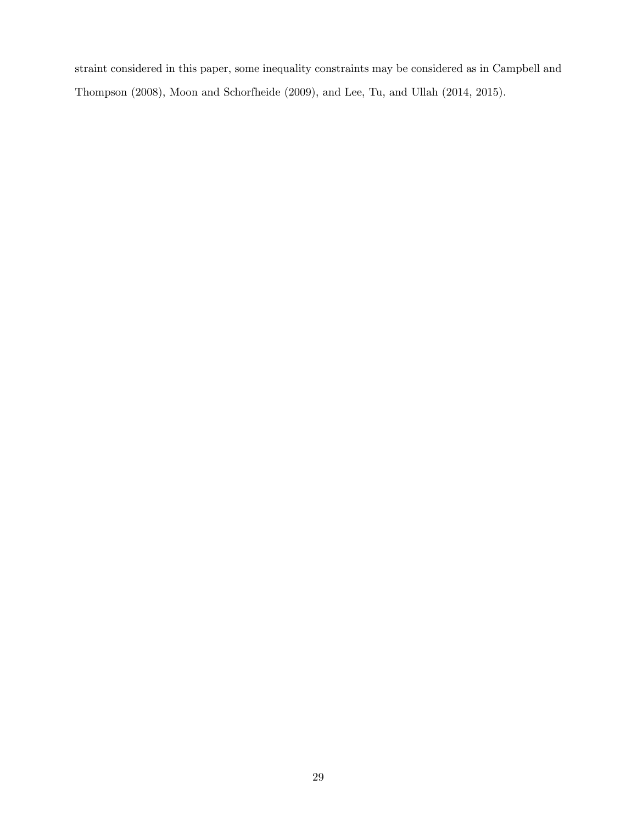straint considered in this paper, some inequality constraints may be considered as in Campbell and Thompson (2008), Moon and Schorfheide (2009), and Lee, Tu, and Ullah (2014, 2015).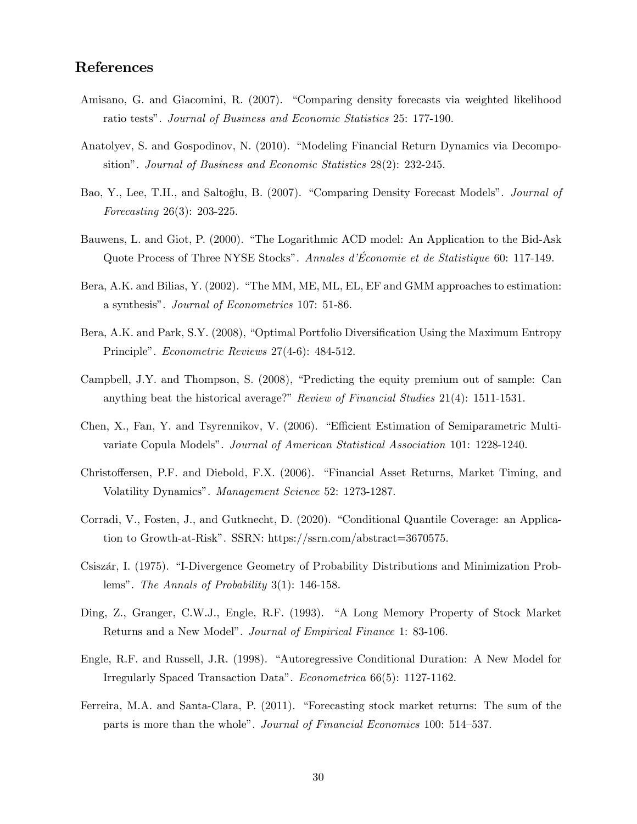## References

- Amisano, G. and Giacomini, R. (2007). "Comparing density forecasts via weighted likelihood ratio testsî. Journal of Business and Economic Statistics 25: 177-190.
- Anatolyev, S. and Gospodinov, N. (2010). "Modeling Financial Return Dynamics via Decompositionî. Journal of Business and Economic Statistics 28(2): 232-245.
- Bao, Y., Lee, T.H., and Saltoğlu, B. (2007). "Comparing Density Forecast Models". *Journal of* Forecasting 26(3): 203-225.
- Bauwens, L. and Giot, P. (2000). "The Logarithmic ACD model: An Application to the Bid-Ask Quote Process of Three NYSE Stocks". Annales d'Économie et de Statistique 60: 117-149.
- Bera, A.K. and Bilias, Y. (2002). "The MM, ME, ML, EL, EF and GMM approaches to estimation: a synthesis". Journal of Econometrics 107: 51-86.
- Bera, A.K. and Park, S.Y. (2008), "Optimal Portfolio Diversification Using the Maximum Entropy Principle". *Econometric Reviews* 27(4-6): 484-512.
- Campbell, J.Y. and Thompson, S.  $(2008)$ , "Predicting the equity premium out of sample: Can anything beat the historical average?" Review of Financial Studies  $21(4)$ : 1511-1531.
- Chen, X., Fan, Y. and Tsyrennikov, V. (2006). "Efficient Estimation of Semiparametric Multivariate Copula Modelsî. Journal of American Statistical Association 101: 1228-1240.
- Christoffersen, P.F. and Diebold, F.X. (2006). "Financial Asset Returns, Market Timing, and Volatility Dynamics". Management Science 52: 1273-1287.
- Corradi, V., Fosten, J., and Gutknecht, D. (2020). "Conditional Quantile Coverage: an Application to Growth-at-Risk". SSRN: https://ssrn.com/abstract=3670575.
- Csiszár, I. (1975). "I-Divergence Geometry of Probability Distributions and Minimization Problems". The Annals of Probability  $3(1)$ : 146-158.
- Ding, Z., Granger, C.W.J., Engle, R.F. (1993). "A Long Memory Property of Stock Market Returns and a New Model". Journal of Empirical Finance 1: 83-106.
- Engle, R.F. and Russell, J.R. (1998). "Autoregressive Conditional Duration: A New Model for Irregularly Spaced Transaction Dataî. Econometrica 66(5): 1127-1162.
- Ferreira, M.A. and Santa-Clara, P. (2011). "Forecasting stock market returns: The sum of the parts is more than the whole". Journal of Financial Economics 100: 514-537.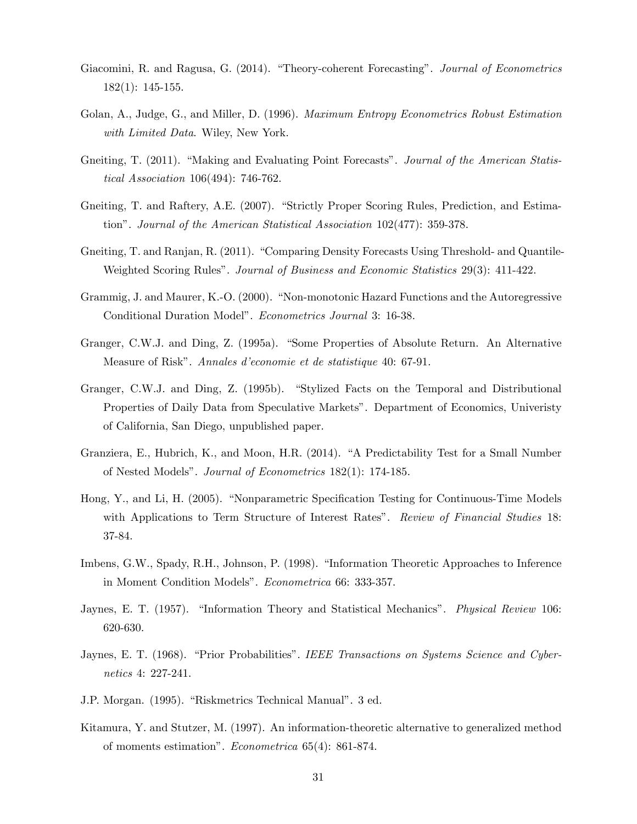- Giacomini, R. and Ragusa, G. (2014). "Theory-coherent Forecasting". Journal of Econometrics 182(1): 145-155.
- Golan, A., Judge, G., and Miller, D. (1996). Maximum Entropy Econometrics Robust Estimation with Limited Data. Wiley, New York.
- Gneiting, T. (2011). "Making and Evaluating Point Forecasts". Journal of the American Statistical Association 106(494): 746-762.
- Gneiting, T. and Raftery, A.E. (2007). "Strictly Proper Scoring Rules, Prediction, and Estimationî. Journal of the American Statistical Association 102(477): 359-378.
- Gneiting, T. and Ranjan, R. (2011). "Comparing Density Forecasts Using Threshold- and Quantile-Weighted Scoring Rules". Journal of Business and Economic Statistics 29(3): 411-422.
- Grammig, J. and Maurer, K.-O. (2000). "Non-monotonic Hazard Functions and the Autoregressive Conditional Duration Model". Econometrics Journal 3: 16-38.
- Granger, C.W.J. and Ding, Z. (1995a). "Some Properties of Absolute Return. An Alternative Measure of Risk". Annales d'economie et de statistique 40: 67-91.
- Granger, C.W.J. and Ding, Z. (1995b). "Stylized Facts on the Temporal and Distributional Properties of Daily Data from Speculative Markets". Department of Economics, University of California, San Diego, unpublished paper.
- Granziera, E., Hubrich, K., and Moon, H.R. (2014). "A Predictability Test for a Small Number of Nested Modelsî. Journal of Econometrics 182(1): 174-185.
- Hong, Y., and Li, H. (2005). "Nonparametric Specification Testing for Continuous-Time Models with Applications to Term Structure of Interest Rates". Review of Financial Studies 18: 37-84.
- Imbens, G.W., Spady, R.H., Johnson, P. (1998). "Information Theoretic Approaches to Inference in Moment Condition Models". Econometrica 66: 333-357.
- Jaynes, E. T. (1957). "Information Theory and Statistical Mechanics". *Physical Review* 106: 620-630.
- Jaynes, E. T. (1968). "Prior Probabilities". IEEE Transactions on Systems Science and Cybernetics 4: 227-241.
- J.P. Morgan. (1995). "Riskmetrics Technical Manual". 3 ed.
- Kitamura, Y. and Stutzer, M. (1997). An information-theoretic alternative to generalized method of moments estimationî. Econometrica 65(4): 861-874.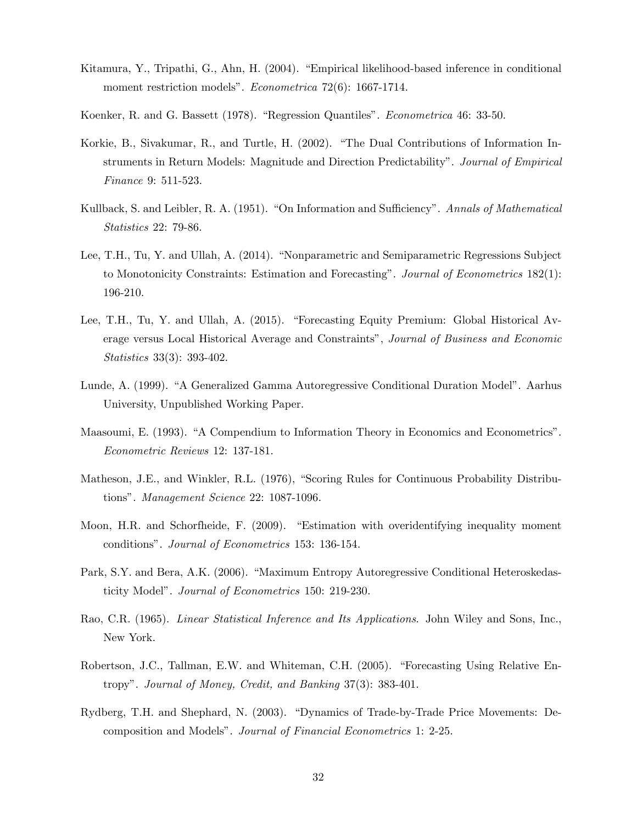- Kitamura, Y., Tripathi, G., Ahn, H. (2004). "Empirical likelihood-based inference in conditional moment restriction models". *Econometrica* 72(6): 1667-1714.
- Koenker, R. and G. Bassett (1978). "Regression Quantiles". *Econometrica* 46: 33-50.
- Korkie, B., Sivakumar, R., and Turtle, H. (2002). "The Dual Contributions of Information Instruments in Return Models: Magnitude and Direction Predictability". Journal of Empirical Finance 9: 511-523.
- Kullback, S. and Leibler, R. A. (1951). "On Information and Sufficiency". Annals of Mathematical Statistics 22: 79-86.
- Lee, T.H., Tu, Y. and Ullah, A. (2014). "Nonparametric and Semiparametric Regressions Subject to Monotonicity Constraints: Estimation and Forecasting". Journal of Econometrics 182(1): 196-210.
- Lee, T.H., Tu, Y. and Ullah, A. (2015). "Forecasting Equity Premium: Global Historical Average versus Local Historical Average and Constraints", Journal of Business and Economic Statistics 33(3): 393-402.
- Lunde, A. (1999). "A Generalized Gamma Autoregressive Conditional Duration Model". Aarhus University, Unpublished Working Paper.
- Maasoumi, E. (1993). "A Compendium to Information Theory in Economics and Econometrics". Econometric Reviews 12: 137-181.
- Matheson, J.E., and Winkler, R.L. (1976), "Scoring Rules for Continuous Probability Distributions". Management Science 22: 1087-1096.
- Moon, H.R. and Schorfheide, F. (2009). "Estimation with overidentifying inequality moment conditions". Journal of Econometrics 153: 136-154.
- Park, S.Y. and Bera, A.K. (2006). "Maximum Entropy Autoregressive Conditional Heteroskedasticity Model". Journal of Econometrics 150: 219-230.
- Rao, C.R. (1965). Linear Statistical Inference and Its Applications. John Wiley and Sons, Inc., New York.
- Robertson, J.C., Tallman, E.W. and Whiteman, C.H. (2005). "Forecasting Using Relative Entropyî. Journal of Money, Credit, and Banking 37(3): 383-401.
- Rydberg, T.H. and Shephard, N. (2003). "Dynamics of Trade-by-Trade Price Movements: Decomposition and Modelsî. Journal of Financial Econometrics 1: 2-25.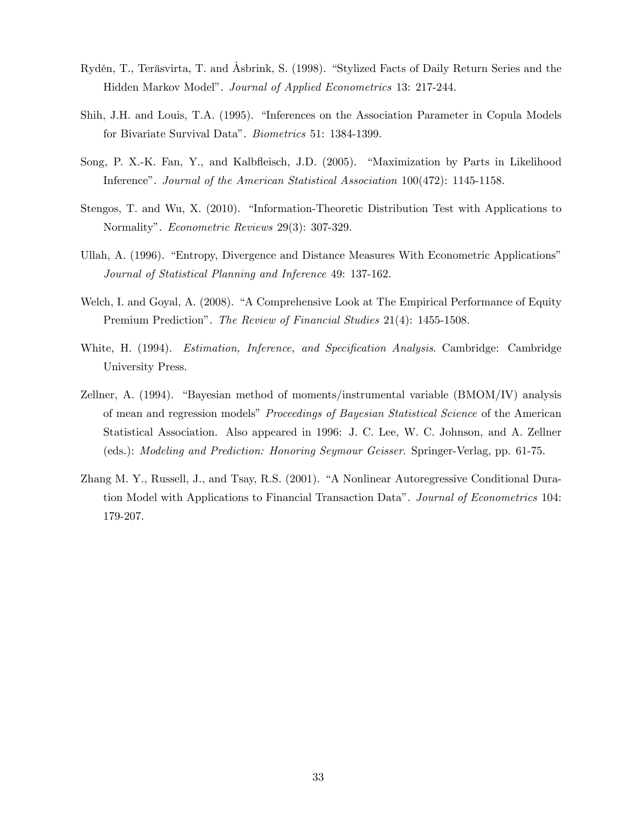- Rydén, T., Teräsvirta, T. and Asbrink, S. (1998). "Stylized Facts of Daily Return Series and the Hidden Markov Modelî. Journal of Applied Econometrics 13: 217-244.
- Shih, J.H. and Louis, T.A. (1995). "Inferences on the Association Parameter in Copula Models for Bivariate Survival Data". *Biometrics* 51: 1384-1399.
- Song, P. X.-K. Fan, Y., and Kalbfleisch, J.D. (2005). "Maximization by Parts in Likelihood Inference". Journal of the American Statistical Association 100(472): 1145-1158.
- Stengos, T. and Wu, X.  $(2010)$ . "Information-Theoretic Distribution Test with Applications to Normality". *Econometric Reviews* 29(3): 307-329.
- Ullah, A. (1996). "Entropy, Divergence and Distance Measures With Econometric Applications" Journal of Statistical Planning and Inference 49: 137-162.
- Welch, I. and Goyal, A. (2008). "A Comprehensive Look at The Empirical Performance of Equity Premium Prediction". The Review of Financial Studies 21(4): 1455-1508.
- White, H. (1994). *Estimation, Inference, and Specification Analysis*. Cambridge: Cambridge University Press.
- Zellner, A. (1994). "Bayesian method of moments/instrumental variable (BMOM/IV) analysis of mean and regression models" *Proceedings of Bayesian Statistical Science* of the American Statistical Association. Also appeared in 1996: J. C. Lee, W. C. Johnson, and A. Zellner (eds.): Modeling and Prediction: Honoring Seymour Geisser. Springer-Verlag, pp. 61-75.
- Zhang M. Y., Russell, J., and Tsay, R.S. (2001). "A Nonlinear Autoregressive Conditional Duration Model with Applications to Financial Transaction Dataî. Journal of Econometrics 104: 179-207.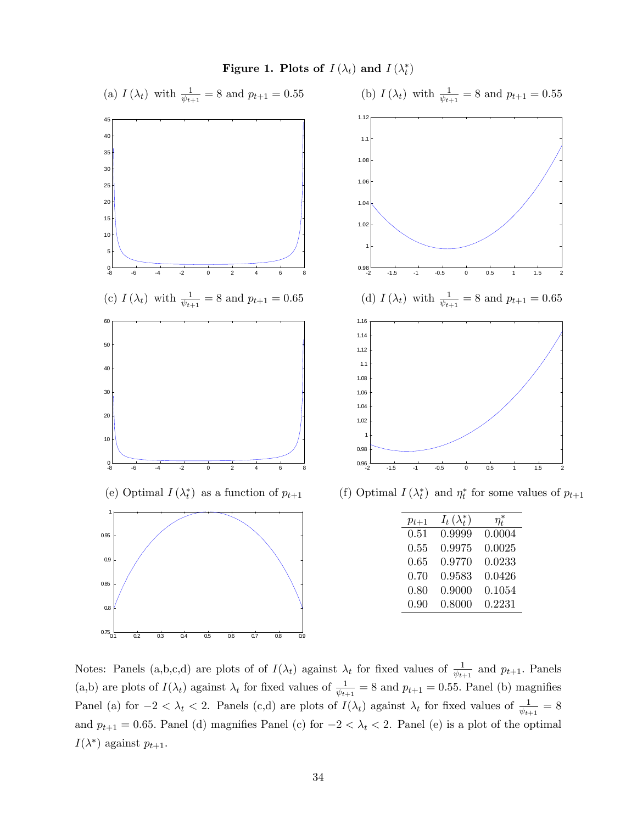

Notes: Panels (a,b,c,d) are plots of of  $I(\lambda_t)$  against  $\lambda_t$  for fixed values of  $\frac{1}{\psi_{t+1}}$  and  $p_{t+1}$ . Panels (a,b) are plots of  $I(\lambda_t)$  against  $\lambda_t$  for fixed values of  $\frac{1}{\psi_{t+1}} = 8$  and  $p_{t+1} = 0.55$ . Panel (b) magnifies Panel (a) for  $-2 < \lambda_t < 2$ . Panels (c,d) are plots of  $I(\lambda_t)$  against  $\lambda_t$  for fixed values of  $\frac{1}{\psi_{t+1}} = 8$ and  $p_{t+1} = 0.65$ . Panel (d) magnifies Panel (c) for  $-2 < \lambda_t < 2$ . Panel (e) is a plot of the optimal  $I(\lambda^*)$  against  $p_{t+1}$ .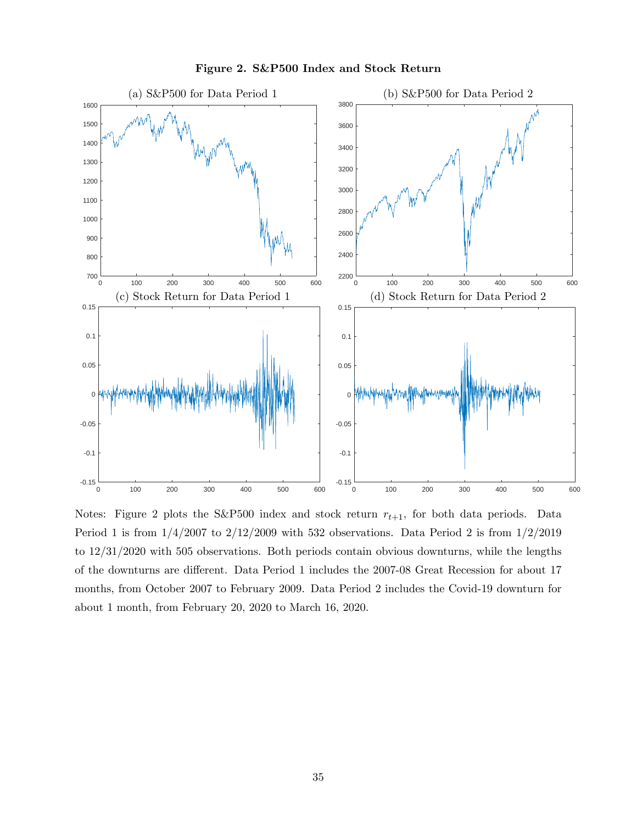

Figure 2. S&P500 Index and Stock Return

Notes: Figure 2 plots the S&P500 index and stock return  $r_{t+1}$ , for both data periods. Data Period 1 is from  $1/4/2007$  to  $2/12/2009$  with 532 observations. Data Period 2 is from  $1/2/2019$ to 12/31/2020 with 505 observations. Both periods contain obvious downturns, while the lengths of the downturns are different. Data Period 1 includes the 2007-08 Great Recession for about 17 months, from October 2007 to February 2009. Data Period 2 includes the Covid-19 downturn for about 1 month, from February 20, 2020 to March 16, 2020.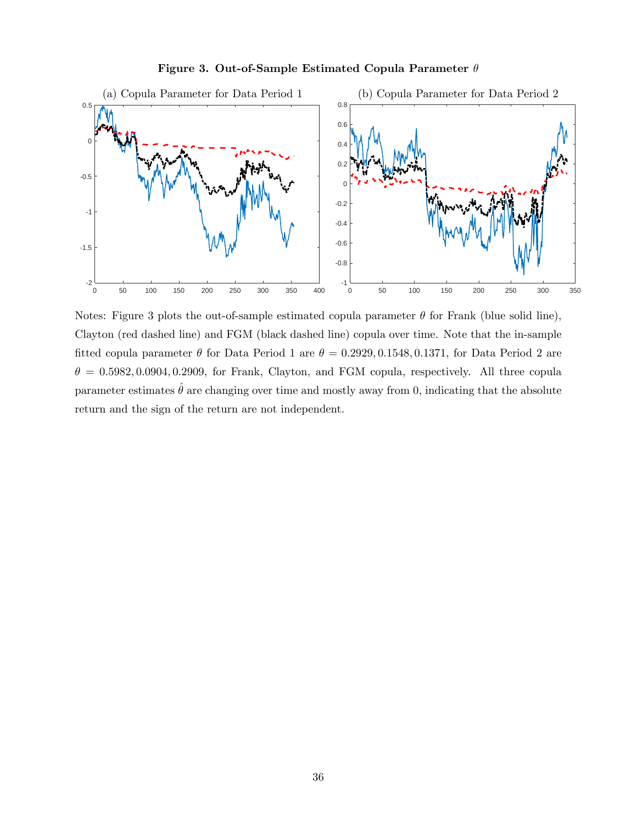



Notes: Figure 3 plots the out-of-sample estimated copula parameter  $\theta$  for Frank (blue solid line), Clayton (red dashed line) and FGM (black dashed line) copula over time. Note that the in-sample fitted copula parameter  $\theta$  for Data Period 1 are  $\theta = 0.2929, 0.1548, 0.1371$ , for Data Period 2 are  $\theta = 0.5982, 0.0904, 0.2909,$  for Frank, Clayton, and FGM copula, respectively. All three copula parameter estimates  $\theta$  are changing over time and mostly away from 0, indicating that the absolute return and the sign of the return are not independent.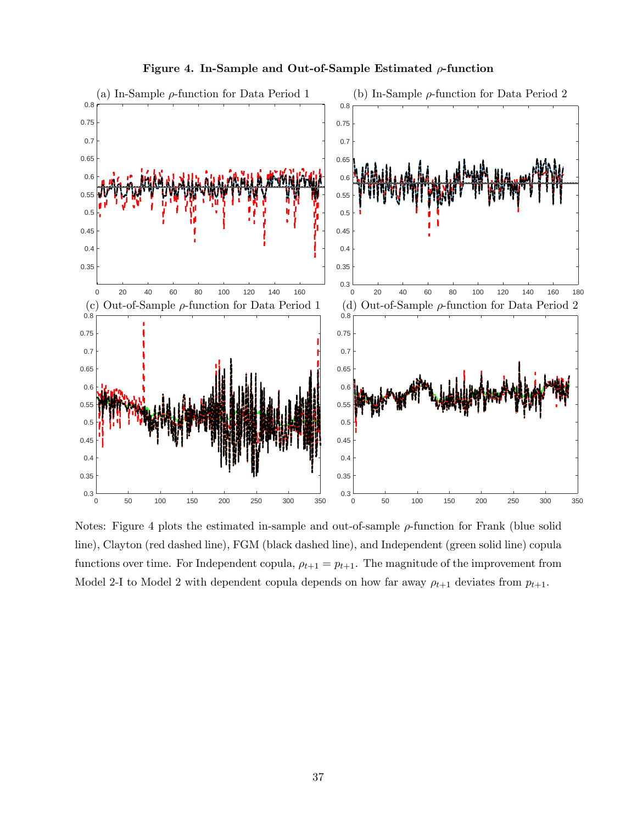

Figure 4. In-Sample and Out-of-Sample Estimated  $\rho$ -function

Notes: Figure 4 plots the estimated in-sample and out-of-sample  $\rho$ -function for Frank (blue solid line), Clayton (red dashed line), FGM (black dashed line), and Independent (green solid line) copula functions over time. For Independent copula,  $\rho_{t+1} = p_{t+1}$ . The magnitude of the improvement from Model 2-I to Model 2 with dependent copula depends on how far away  $\rho_{t+1}$  deviates from  $p_{t+1}$ .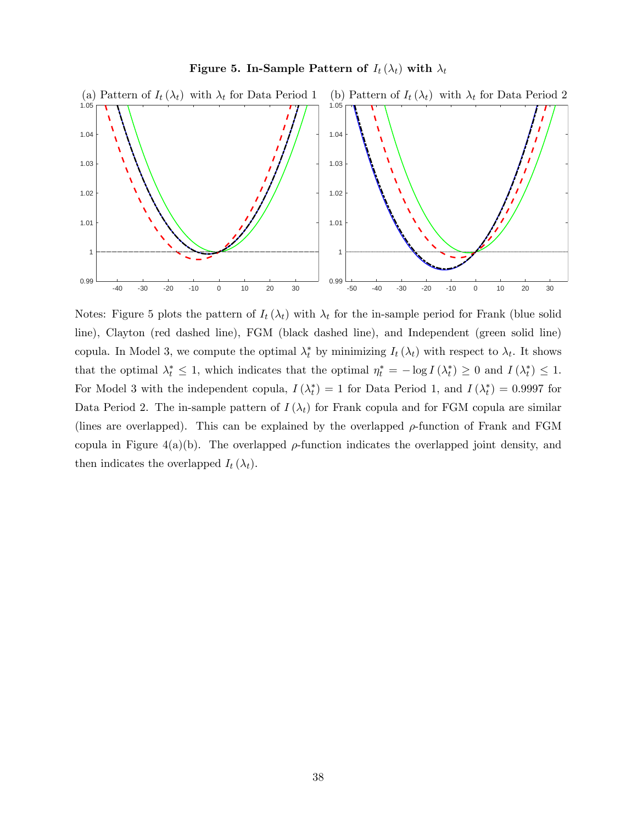

Figure 5. In-Sample Pattern of  $I_t(\lambda_t)$  with  $\lambda_t$ 

Notes: Figure 5 plots the pattern of  $I_t(\lambda_t)$  with  $\lambda_t$  for the in-sample period for Frank (blue solid line), Clayton (red dashed line), FGM (black dashed line), and Independent (green solid line) copula. In Model 3, we compute the optimal  $\lambda_t^*$  by minimizing  $I_t(\lambda_t)$  with respect to  $\lambda_t$ . It shows that the optimal  $\lambda_t^* \leq 1$ , which indicates that the optimal  $\eta_t^* = -\log I(\lambda_t^*) \geq 0$  and  $I(\lambda_t^*) \leq 1$ . For Model 3 with the independent copula,  $I(\lambda_t^*) = 1$  for Data Period 1, and  $I(\lambda_t^*) = 0.9997$  for Data Period 2. The in-sample pattern of  $I(\lambda_t)$  for Frank copula and for FGM copula are similar (lines are overlapped). This can be explained by the overlapped  $\rho$ -function of Frank and FGM copula in Figure 4(a)(b). The overlapped  $\rho$ -function indicates the overlapped joint density, and then indicates the overlapped  $I_t(\lambda_t)$ .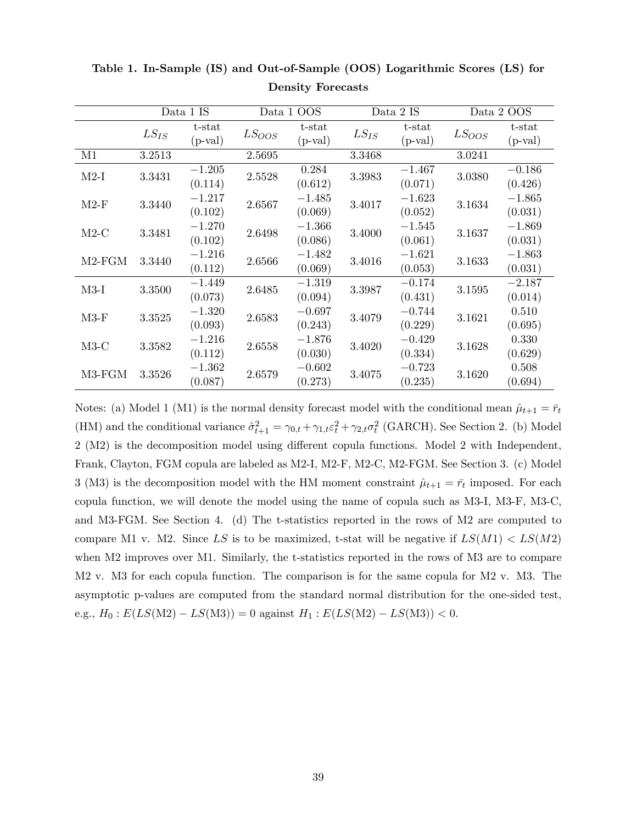|          | Data 1 IS |                 | Data 1 OOS |                 | Data 2 IS |             | Data 2 OOS |                 |  |
|----------|-----------|-----------------|------------|-----------------|-----------|-------------|------------|-----------------|--|
|          | $LS_{IS}$ | t-stat          | $LS_{OOS}$ | t-stat          | $LS_{IS}$ | t-stat      | $LS_{OOS}$ | t-stat          |  |
|          |           | $(p-valueval})$ |            | $(p-valueval})$ |           | $(p-value $ |            | $(p-valueval})$ |  |
| M1       | 3.2513    |                 | 2.5695     |                 | 3.3468    |             | 3.0241     |                 |  |
| $M2-I$   | 3.3431    | $-1.205$        | 2.5528     | 0.284           | 3.3983    | $-1.467$    | 3.0380     | $-0.186$        |  |
|          |           | (0.114)         |            | (0.612)         |           | (0.071)     |            | (0.426)         |  |
|          |           | $-1.217$        |            | $-1.485$        | 3.4017    | $-1.623$    | 3.1634     | $-1.865$        |  |
| $M2-F$   | 3.3440    | (0.102)         | 2.6567     | (0.069)         |           | (0.052)     |            | (0.031)         |  |
|          |           | $-1.270$        | 2.6498     | $-1.366$        | 3.4000    | $-1.545$    | 3.1637     | $-1.869$        |  |
| $M2-C$   | 3.3481    | (0.102)         |            | (0.086)         |           | (0.061)     |            | (0.031)         |  |
| $M2-FGM$ | 3.3440    | $-1.216$        | 2.6566     | $-1.482$        | 3.4016    | $-1.621$    | 3.1633     | $-1.863$        |  |
|          |           | (0.112)         |            | (0.069)         |           | (0.053)     |            | (0.031)         |  |
| $M3-I$   | 3.3500    | $-1.449$        |            | $-1.319$        | 3.3987    | $-0.174$    | 3.1595     | $-2.187$        |  |
|          |           | (0.073)         | 2.6485     | (0.094)         |           | (0.431)     |            | (0.014)         |  |
| $M3-F$   |           | $-1.320$        |            | $-0.697$        | 3.4079    | $-0.744$    | 3.1621     | 0.510           |  |
|          | 3.3525    | (0.093)         | 2.6583     | (0.243)         |           | (0.229)     |            | (0.695)         |  |
| $M3-C$   | 3.3582    | $-1.216$        | 2.6558     | $-1.876$        | 3.4020    | $-0.429$    | 3.1628     | 0.330           |  |
|          |           | (0.112)         |            | (0.030)         |           | (0.334)     |            | (0.629)         |  |
| M3-FGM   |           | $-1.362$        | 2.6579     | $-0.602$        | 3.4075    | $-0.723$    | 3.1620     | 0.508           |  |
|          | 3.3526    | (0.087)         |            | (0.273)         |           | (0.235)     |            | (0.694)         |  |

Table 1. In-Sample (IS) and Out-of-Sample (OOS) Logarithmic Scores (LS) for Density Forecasts

Notes: (a) Model 1 (M1) is the normal density forecast model with the conditional mean  $\hat{\mu}_{t+1} = \bar{r}_t$ (HM) and the conditional variance  $\hat{\sigma}_{t+1}^2 = \gamma_{0,t} + \gamma_{1,t} \varepsilon_t^2 + \gamma_{2,t} \sigma_t^2$  (GARCH). See Section 2. (b) Model 2 (M2) is the decomposition model using different copula functions. Model 2 with Independent, Frank, Clayton, FGM copula are labeled as M2-I, M2-F, M2-C, M2-FGM. See Section 3. (c) Model 3 (M3) is the decomposition model with the HM moment constraint  $\hat{\mu}_{t+1} = \bar{r}_t$  imposed. For each copula function, we will denote the model using the name of copula such as M3-I, M3-F, M3-C, and M3-FGM. See Section 4. (d) The t-statistics reported in the rows of M2 are computed to compare M1 v. M2. Since LS is to be maximized, t-stat will be negative if  $LS(M1) < LS(M2)$ when M2 improves over M1. Similarly, the t-statistics reported in the rows of M3 are to compare M2 v. M3 for each copula function. The comparison is for the same copula for M2 v. M3. The asymptotic p-values are computed from the standard normal distribution for the one-sided test, e.g.,  $H_0 : E(LS(M2) - LS(M3)) = 0$  against  $H_1 : E(LS(M2) - LS(M3)) < 0$ .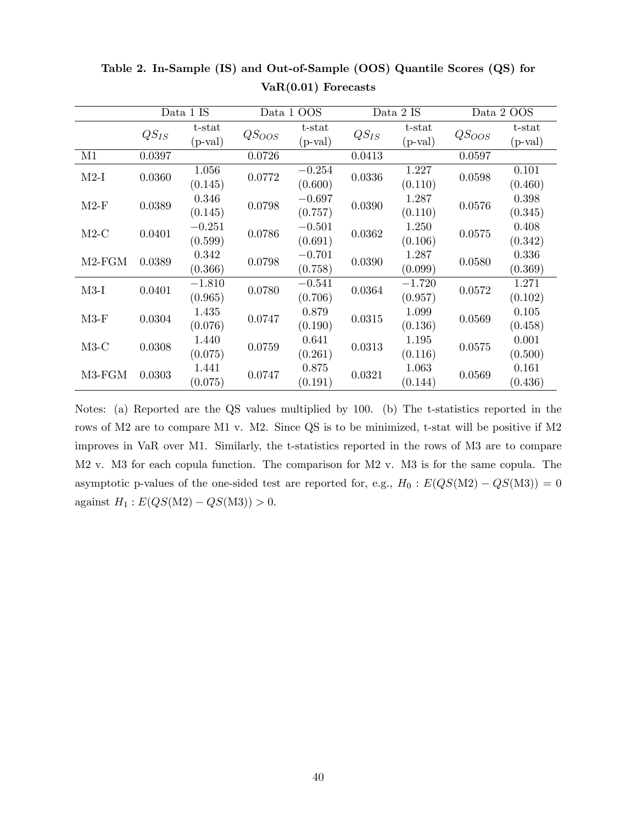|          | Data 1 IS |                | Data 1 OOS        |             | Data 2 IS |            | Data 2 OOS |               |
|----------|-----------|----------------|-------------------|-------------|-----------|------------|------------|---------------|
|          | $QS_{IS}$ | t-stat         | QS <sub>OOS</sub> | t-stat      | $QS_{IS}$ | t-stat     | $QS_{OOS}$ | t-stat        |
|          |           | $(p-valueval)$ |                   | $(p-value)$ |           | $(p-value$ |            | $(p$ -val $)$ |
| M1       | 0.0397    |                | 0.0726            |             | 0.0413    |            | 0.0597     |               |
| $M2-I$   | 0.0360    | 1.056          | 0.0772            | $-0.254$    | 0.0336    | 1.227      | 0.0598     | 0.101         |
|          |           | (0.145)        |                   | (0.600)     |           | (0.110)    |            | (0.460)       |
| $M2-F$   |           | 0.346          | 0.0798            | $-0.697$    | 0.0390    | 1.287      | 0.0576     | 0.398         |
|          | 0.0389    | (0.145)        |                   | (0.757)     |           | (0.110)    |            | (0.345)       |
|          | 0.0401    | $-0.251$       | 0.0786            | $-0.501$    | 0.0362    | 1.250      | 0.0575     | 0.408         |
| $M2-C$   |           | (0.599)        |                   | (0.691)     |           | (0.106)    |            | (0.342)       |
|          | 0.0389    | 0.342          | 0.0798            | $-0.701$    | 0.0390    | 1.287      | 0.0580     | 0.336         |
| $M2-FGM$ |           | (0.366)        |                   | (0.758)     |           | (0.099)    |            | (0.369)       |
| $M3-I$   | 0.0401    | $-1.810$       | 0.0780            | $-0.541$    | 0.0364    | $-1.720$   | 0.0572     | 1.271         |
|          |           | (0.965)        |                   | (0.706)     |           | (0.957)    |            | (0.102)       |
| $M3-F$   |           | 1.435          | 0.0747            | 0.879       | 0.0315    | 1.099      | 0.0569     | 0.105         |
|          | 0.0304    | (0.076)        |                   | (0.190)     |           | (0.136)    |            | (0.458)       |
| $M3-C$   | 0.0308    | 1.440          | 0.0759            | 0.641       | 0.0313    | 1.195      | 0.0575     | 0.001         |
|          |           | (0.075)        |                   | (0.261)     |           | (0.116)    |            | (0.500)       |
| M3-FGM   | 0.0303    | 1.441          | 0.0747            | 0.875       | 0.0321    | 1.063      | 0.0569     | 0.161         |
|          |           | (0.075)        |                   | (0.191)     |           | (0.144)    |            | (0.436)       |

Table 2. In-Sample (IS) and Out-of-Sample (OOS) Quantile Scores (QS) for VaR(0.01) Forecasts

Notes: (a) Reported are the QS values multiplied by 100. (b) The t-statistics reported in the rows of M2 are to compare M1 v. M2. Since QS is to be minimized, t-stat will be positive if M2 improves in VaR over M1. Similarly, the t-statistics reported in the rows of M3 are to compare M2 v. M3 for each copula function. The comparison for M2 v. M3 is for the same copula. The asymptotic p-values of the one-sided test are reported for, e.g.,  $H_0 : E(QS(M2) - QS(M3)) = 0$ against  $H_1 : E(QS(M2) - QS(M3)) > 0.$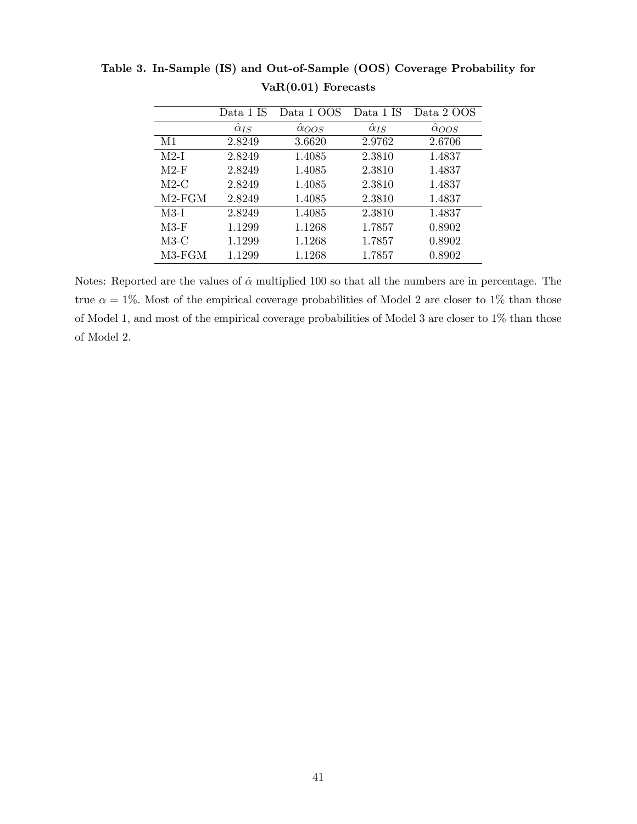|          | Data 1 IS           | Data 1 OOS           | Data 1 IS           | Data 2 OOS     |  |
|----------|---------------------|----------------------|---------------------|----------------|--|
|          | $\hat{\alpha}_{IS}$ | $\hat{\alpha}_{OOS}$ | $\hat{\alpha}_{IS}$ | $\alpha_{OOS}$ |  |
| M1       | 2.8249              | 3.6620               | 2.9762              | 2.6706         |  |
| $M2-I$   | 2.8249              | 1.4085               | 2.3810              | 1.4837         |  |
| $M2-F$   | 2.8249              | 1.4085               | 2.3810              | 1.4837         |  |
| $M2-C$   | 2.8249              | 1.4085               | 2.3810              | 1.4837         |  |
| $M2-FGM$ | 2.8249              | 1.4085               | 2.3810              | 1.4837         |  |
| $M3-I$   | 2.8249              | 1.4085               | 2.3810              | 1.4837         |  |
| $M3-F$   | 1.1299              | 1.1268               | 1.7857              | 0.8902         |  |
| $M3-C$   | 1.1299              | 1.1268               | 1.7857              | 0.8902         |  |
| $M3-FGM$ | 1.1299              | 1.1268               | 1.7857              | 0.8902         |  |
|          |                     |                      |                     |                |  |

Table 3. In-Sample (IS) and Out-of-Sample (OOS) Coverage Probability for VaR(0.01) Forecasts

Notes: Reported are the values of  $\hat{\alpha}$  multiplied 100 so that all the numbers are in percentage. The true  $\alpha = 1\%$ . Most of the empirical coverage probabilities of Model 2 are closer to 1% than those of Model 1, and most of the empirical coverage probabilities of Model 3 are closer to 1% than those of Model 2.